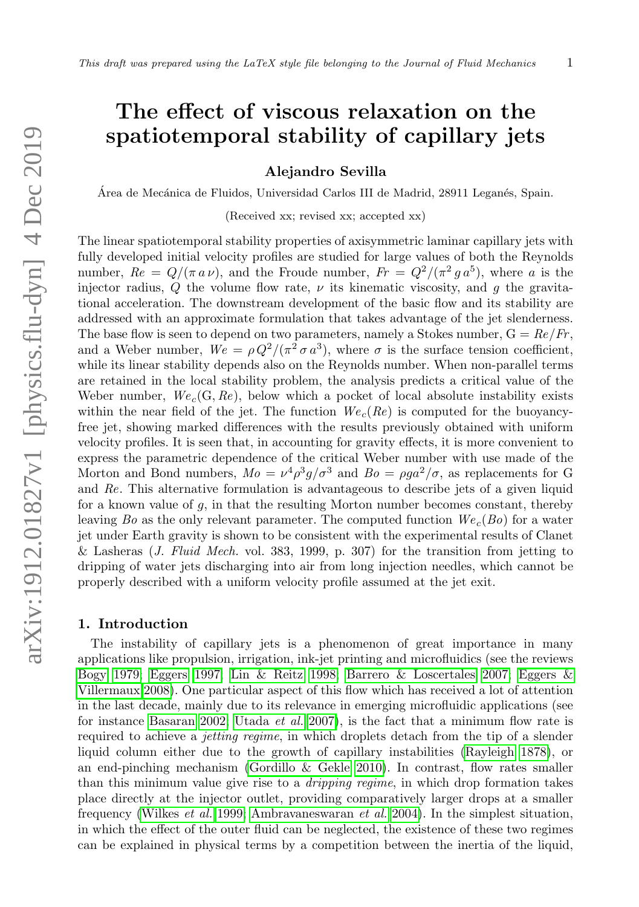# The effect of viscous relaxation on the spatiotemporal stability of capillary jets

Alejandro Sevilla

Área de Mecánica de Fluidos, Universidad Carlos III de Madrid, 28911 Leganés, Spain.

(Received xx; revised xx; accepted xx)

The linear spatiotemporal stability properties of axisymmetric laminar capillary jets with fully developed initial velocity profiles are studied for large values of both the Reynolds number,  $Re = Q/(\pi a \nu)$ , and the Froude number,  $Fr = Q^2/(\pi^2 g a^5)$ , where a is the injector radius, Q the volume flow rate,  $\nu$  its kinematic viscosity, and q the gravitational acceleration. The downstream development of the basic flow and its stability are addressed with an approximate formulation that takes advantage of the jet slenderness. The base flow is seen to depend on two parameters, namely a Stokes number,  $G = Re/Fr$ , and a Weber number,  $We = \rho Q^2/(\pi^2 \sigma a^3)$ , where  $\sigma$  is the surface tension coefficient, while its linear stability depends also on the Reynolds number. When non-parallel terms are retained in the local stability problem, the analysis predicts a critical value of the Weber number,  $We_c(G, Re)$ , below which a pocket of local absolute instability exists within the near field of the jet. The function  $We<sub>c</sub>(Re)$  is computed for the buoyancyfree jet, showing marked differences with the results previously obtained with uniform velocity profiles. It is seen that, in accounting for gravity effects, it is more convenient to express the parametric dependence of the critical Weber number with use made of the Morton and Bond numbers,  $Mo = \nu^4 \rho^3 g / \sigma^3$  and  $Bo = \rho g a^2 / \sigma$ , as replacements for G and Re. This alternative formulation is advantageous to describe jets of a given liquid for a known value of g, in that the resulting Morton number becomes constant, thereby leaving Bo as the only relevant parameter. The computed function  $We_c(Bo)$  for a water jet under Earth gravity is shown to be consistent with the experimental results of Clanet & Lasheras  $(J.$  Fluid Mech. vol. 383, 1999, p. 307) for the transition from jetting to dripping of water jets discharging into air from long injection needles, which cannot be properly described with a uniform velocity profile assumed at the jet exit.

## <span id="page-0-0"></span>1. Introduction

The instability of capillary jets is a phenomenon of great importance in many applications like propulsion, irrigation, ink-jet printing and microfluidics (see the reviews [Bogy 1979;](#page-20-0) [Eggers 1997;](#page-20-1) [Lin & Reitz 1998;](#page-21-0) [Barrero & Loscertales 2007;](#page-20-2) [Eggers &](#page-20-3) [Villermaux 2008\)](#page-20-3). One particular aspect of this flow which has received a lot of attention in the last decade, mainly due to its relevance in emerging microfluidic applications (see for instance [Basaran 2002;](#page-20-4) [Utada](#page-22-0) et al. [2007\)](#page-22-0), is the fact that a minimum flow rate is required to achieve a jetting regime, in which droplets detach from the tip of a slender liquid column either due to the growth of capillary instabilities [\(Rayleigh 1878\)](#page-21-1), or an end-pinching mechanism [\(Gordillo & Gekle 2010\)](#page-21-2). In contrast, flow rates smaller than this minimum value give rise to a dripping regime, in which drop formation takes place directly at the injector outlet, providing comparatively larger drops at a smaller frequency [\(Wilkes](#page-22-1) et al. [1999;](#page-22-1) [Ambravaneswaran](#page-20-5) et al. [2004\)](#page-20-5). In the simplest situation, in which the effect of the outer fluid can be neglected, the existence of these two regimes can be explained in physical terms by a competition between the inertia of the liquid,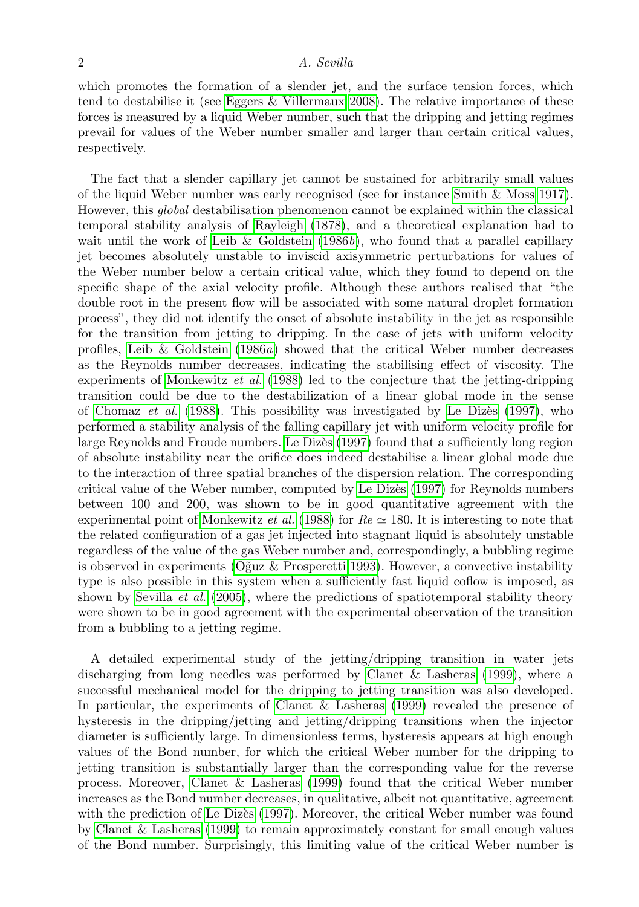which promotes the formation of a slender jet, and the surface tension forces, which tend to destabilise it (see [Eggers & Villermaux 2008\)](#page-20-3). The relative importance of these forces is measured by a liquid Weber number, such that the dripping and jetting regimes prevail for values of the Weber number smaller and larger than certain critical values, respectively.

The fact that a slender capillary jet cannot be sustained for arbitrarily small values of the liquid Weber number was early recognised (see for instance [Smith & Moss 1917\)](#page-22-2). However, this global destabilisation phenomenon cannot be explained within the classical temporal stability analysis of [Rayleigh](#page-21-1) [\(1878\)](#page-21-1), and a theoretical explanation had to wait until the work of [Leib & Goldstein](#page-21-3)  $(1986b)$  $(1986b)$ , who found that a parallel capillary jet becomes absolutely unstable to inviscid axisymmetric perturbations for values of the Weber number below a certain critical value, which they found to depend on the specific shape of the axial velocity profile. Although these authors realised that "the double root in the present flow will be associated with some natural droplet formation process", they did not identify the onset of absolute instability in the jet as responsible for the transition from jetting to dripping. In the case of jets with uniform velocity profiles, [Leib & Goldstein](#page-21-4)  $(1986a)$  $(1986a)$  showed that the critical Weber number decreases as the Reynolds number decreases, indicating the stabilising effect of viscosity. The experiments of [Monkewitz](#page-21-5) et al. [\(1988\)](#page-21-5) led to the conjecture that the jetting-dripping transition could be due to the destabilization of a linear global mode in the sense of [Chomaz](#page-20-6) *et al.* [\(1988\)](#page-20-6). This possibility was investigated by Le Dizès [\(1997\)](#page-21-6), who performed a stability analysis of the falling capillary jet with uniform velocity profile for large Reynolds and Froude numbers. Le Dizès [\(1997\)](#page-21-6) found that a sufficiently long region of absolute instability near the orifice does indeed destabilise a linear global mode due to the interaction of three spatial branches of the dispersion relation. The corresponding critical value of the Weber number, computed by Le Dizès [\(1997\)](#page-21-6) for Reynolds numbers between 100 and 200, was shown to be in good quantitative agreement with the experimental point of [Monkewitz](#page-21-5) *et al.* [\(1988\)](#page-21-5) for  $Re \simeq 180$ . It is interesting to note that the related configuration of a gas jet injected into stagnant liquid is absolutely unstable regardless of the value of the gas Weber number and, correspondingly, a bubbling regime is observed in experiments ( $\widetilde{\mathrm{Oguz}}$  & Prosperetti 1993). However, a convective instability type is also possible in this system when a sufficiently fast liquid coflow is imposed, as shown by [Sevilla](#page-21-8) et al. [\(2005\)](#page-21-8), where the predictions of spatiotemporal stability theory were shown to be in good agreement with the experimental observation of the transition from a bubbling to a jetting regime.

A detailed experimental study of the jetting/dripping transition in water jets discharging from long needles was performed by [Clanet & Lasheras](#page-20-7) [\(1999\)](#page-20-7), where a successful mechanical model for the dripping to jetting transition was also developed. In particular, the experiments of [Clanet & Lasheras](#page-20-7) [\(1999\)](#page-20-7) revealed the presence of hysteresis in the dripping/jetting and jetting/dripping transitions when the injector diameter is sufficiently large. In dimensionless terms, hysteresis appears at high enough values of the Bond number, for which the critical Weber number for the dripping to jetting transition is substantially larger than the corresponding value for the reverse process. Moreover, [Clanet & Lasheras](#page-20-7) [\(1999\)](#page-20-7) found that the critical Weber number increases as the Bond number decreases, in qualitative, albeit not quantitative, agreement with the prediction of Le Dizès  $(1997)$ . Moreover, the critical Weber number was found by [Clanet & Lasheras](#page-20-7) [\(1999\)](#page-20-7) to remain approximately constant for small enough values of the Bond number. Surprisingly, this limiting value of the critical Weber number is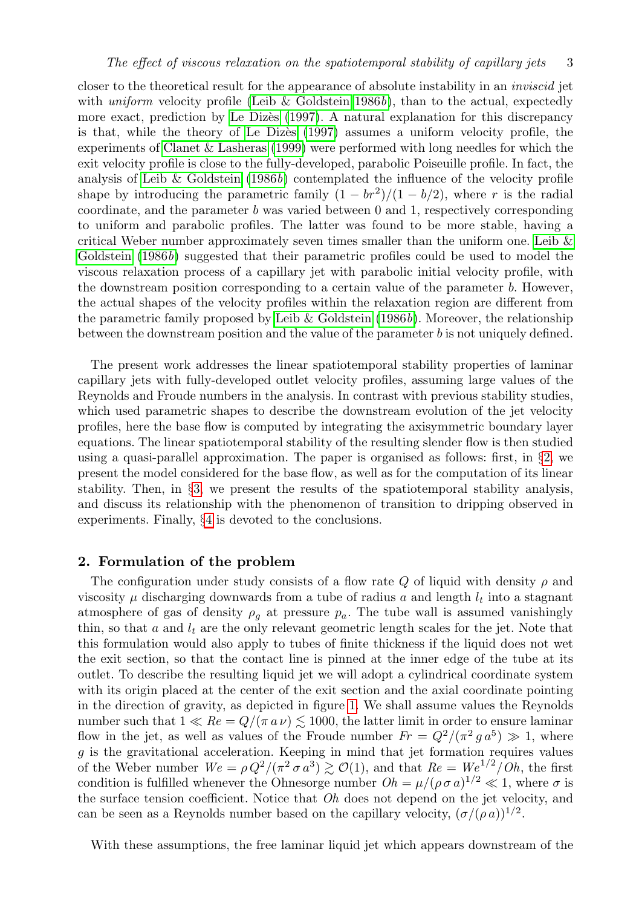closer to the theoretical result for the appearance of absolute instability in an inviscid jet with uniform velocity profile [\(Leib & Goldstein 1986](#page-21-3)b), than to the actual, expectedly more exact, prediction by Le Dizès  $(1997)$ . A natural explanation for this discrepancy is that, while the theory of Le Dizès [\(1997\)](#page-21-6) assumes a uniform velocity profile, the experiments of [Clanet & Lasheras](#page-20-7) [\(1999\)](#page-20-7) were performed with long needles for which the exit velocity profile is close to the fully-developed, parabolic Poiseuille profile. In fact, the analysis of [Leib & Goldstein](#page-21-3)  $(1986b)$  $(1986b)$  contemplated the influence of the velocity profile shape by introducing the parametric family  $(1 - br^2)/(1 - b/2)$ , where r is the radial coordinate, and the parameter  $b$  was varied between 0 and 1, respectively corresponding to uniform and parabolic profiles. The latter was found to be more stable, having a critical Weber number approximately seven times smaller than the uniform one. Leib  $\&$ [Goldstein](#page-21-3) [\(1986](#page-21-3)b) suggested that their parametric profiles could be used to model the viscous relaxation process of a capillary jet with parabolic initial velocity profile, with the downstream position corresponding to a certain value of the parameter b. However, the actual shapes of the velocity profiles within the relaxation region are different from the parametric family proposed by [Leib & Goldstein](#page-21-3)  $(1986b)$  $(1986b)$ . Moreover, the relationship between the downstream position and the value of the parameter  $b$  is not uniquely defined.

The present work addresses the linear spatiotemporal stability properties of laminar capillary jets with fully-developed outlet velocity profiles, assuming large values of the Reynolds and Froude numbers in the analysis. In contrast with previous stability studies, which used parametric shapes to describe the downstream evolution of the jet velocity profiles, here the base flow is computed by integrating the axisymmetric boundary layer equations. The linear spatiotemporal stability of the resulting slender flow is then studied using a quasi-parallel approximation. The paper is organised as follows: first, in  $\S2$ , we present the model considered for the base flow, as well as for the computation of its linear stability. Then, in §[3,](#page-8-0) we present the results of the spatiotemporal stability analysis, and discuss its relationship with the phenomenon of transition to dripping observed in experiments. Finally, §[4](#page-19-0) is devoted to the conclusions.

#### <span id="page-2-0"></span>2. Formulation of the problem

The configuration under study consists of a flow rate  $Q$  of liquid with density  $\rho$  and viscosity  $\mu$  discharging downwards from a tube of radius a and length  $l_t$  into a stagnant atmosphere of gas of density  $\rho_g$  at pressure  $p_a$ . The tube wall is assumed vanishingly thin, so that a and  $l_t$  are the only relevant geometric length scales for the jet. Note that this formulation would also apply to tubes of finite thickness if the liquid does not wet the exit section, so that the contact line is pinned at the inner edge of the tube at its outlet. To describe the resulting liquid jet we will adopt a cylindrical coordinate system with its origin placed at the center of the exit section and the axial coordinate pointing in the direction of gravity, as depicted in figure [1.](#page-3-0) We shall assume values the Reynolds number such that  $1 \ll Re = Q/(\pi a \nu) \lesssim 1000$ , the latter limit in order to ensure laminar flow in the jet, as well as values of the Froude number  $Fr = Q^2/(\pi^2 g a^5) \gg 1$ , where  $g$  is the gravitational acceleration. Keeping in mind that jet formation requires values of the Weber number  $We = \rho Q^2/(\pi^2 \sigma a^3) \gtrsim \mathcal{O}(1)$ , and that  $Re = We^{1/2}/Oh$ , the first condition is fulfilled whenever the Ohnesorge number  $Oh = \mu/(\rho \sigma a)^{1/2} \ll 1$ , where  $\sigma$  is the surface tension coefficient. Notice that Oh does not depend on the jet velocity, and can be seen as a Reynolds number based on the capillary velocity,  $(\sigma/(\rho a))^{1/2}$ .

With these assumptions, the free laminar liquid jet which appears downstream of the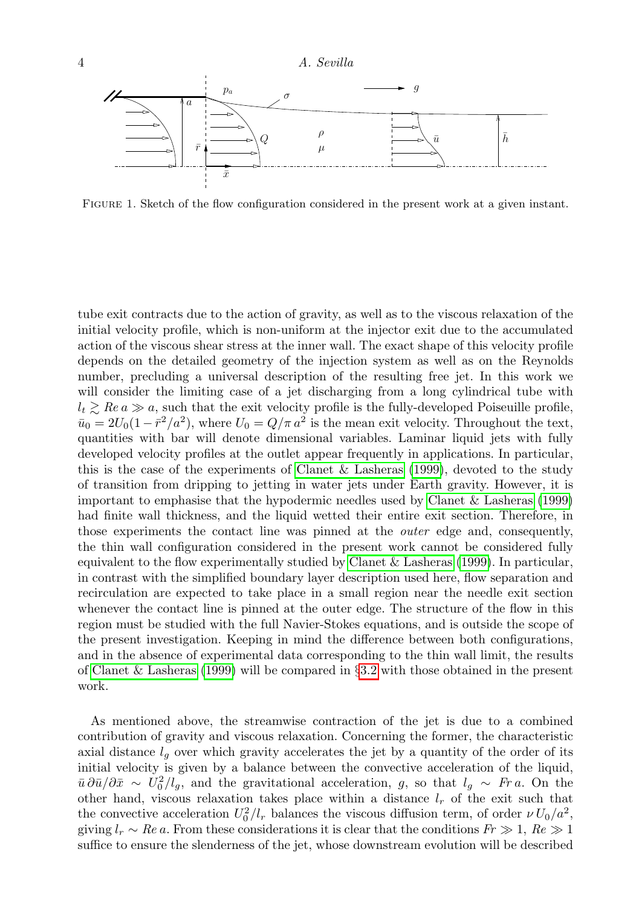

<span id="page-3-0"></span>Figure 1. Sketch of the flow configuration considered in the present work at a given instant.

tube exit contracts due to the action of gravity, as well as to the viscous relaxation of the initial velocity profile, which is non-uniform at the injector exit due to the accumulated action of the viscous shear stress at the inner wall. The exact shape of this velocity profile depends on the detailed geometry of the injection system as well as on the Reynolds number, precluding a universal description of the resulting free jet. In this work we will consider the limiting case of a jet discharging from a long cylindrical tube with  $l_t \geq Re \, a \gg a$ , such that the exit velocity profile is the fully-developed Poiseuille profile,  $\bar{u}_0 = 2U_0(1 - \bar{r}^2/a^2)$ , where  $U_0 = Q/\pi a^2$  is the mean exit velocity. Throughout the text, quantities with bar will denote dimensional variables. Laminar liquid jets with fully developed velocity profiles at the outlet appear frequently in applications. In particular, this is the case of the experiments of [Clanet & Lasheras](#page-20-7) [\(1999\)](#page-20-7), devoted to the study of transition from dripping to jetting in water jets under Earth gravity. However, it is important to emphasise that the hypodermic needles used by [Clanet & Lasheras](#page-20-7) [\(1999\)](#page-20-7) had finite wall thickness, and the liquid wetted their entire exit section. Therefore, in those experiments the contact line was pinned at the outer edge and, consequently, the thin wall configuration considered in the present work cannot be considered fully equivalent to the flow experimentally studied by [Clanet & Lasheras](#page-20-7) [\(1999\)](#page-20-7). In particular, in contrast with the simplified boundary layer description used here, flow separation and recirculation are expected to take place in a small region near the needle exit section whenever the contact line is pinned at the outer edge. The structure of the flow in this region must be studied with the full Navier-Stokes equations, and is outside the scope of the present investigation. Keeping in mind the difference between both configurations, and in the absence of experimental data corresponding to the thin wall limit, the results of [Clanet & Lasheras](#page-20-7) [\(1999\)](#page-20-7) will be compared in §[3.2](#page-16-0) with those obtained in the present work.

As mentioned above, the streamwise contraction of the jet is due to a combined contribution of gravity and viscous relaxation. Concerning the former, the characteristic axial distance  $l_q$  over which gravity accelerates the jet by a quantity of the order of its initial velocity is given by a balance between the convective acceleration of the liquid,  $\bar{u}\,\partial\bar{u}/\partial\bar{x} \sim U_0^2/l_g$ , and the gravitational acceleration, g, so that  $l_g \sim Fr a$ . On the other hand, viscous relaxation takes place within a distance  $l_r$  of the exit such that the convective acceleration  $U_0^2/l_r$  balances the viscous diffusion term, of order  $\nu U_0/a^2$ , giving  $l_r \sim Re a$ . From these considerations it is clear that the conditions  $Fr \gg 1$ ,  $Re \gg 1$ suffice to ensure the slenderness of the jet, whose downstream evolution will be described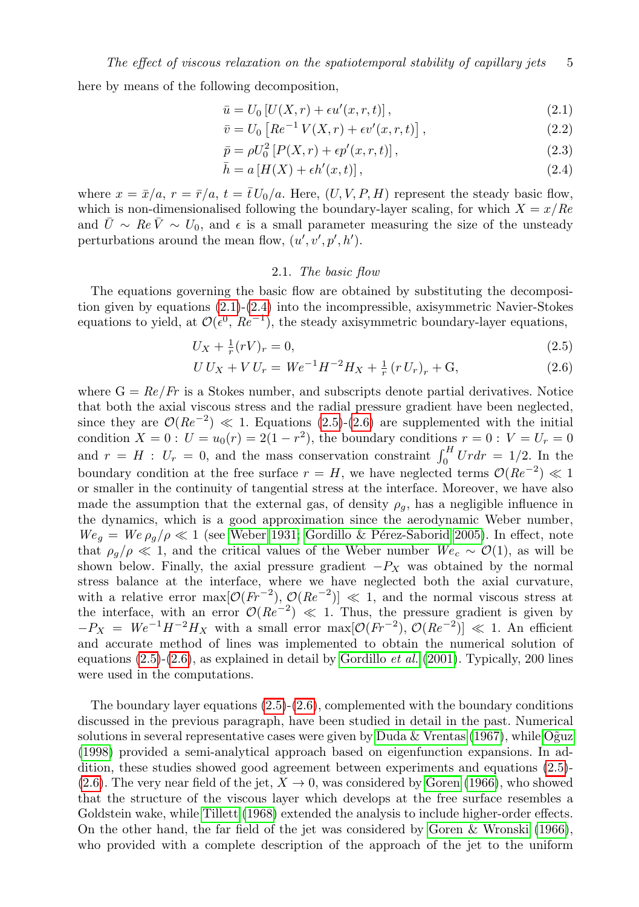here by means of the following decomposition,

<span id="page-4-0"></span>
$$
\bar{u} = U_0 \left[ U(X, r) + \epsilon u'(x, r, t) \right],\tag{2.1}
$$

$$
\bar{v} = U_0 \left[ Re^{-1} V(X, r) + \epsilon v'(x, r, t) \right],\tag{2.2}
$$

$$
\bar{p} = \rho U_0^2 [P(X, r) + \epsilon p'(x, r, t)],
$$
\n(2.3)

$$
\bar{h} = a\left[H(X) + \epsilon h'(x, t)\right],\tag{2.4}
$$

where  $x = \bar{x}/a$ ,  $r = \bar{r}/a$ ,  $t = \bar{t} U_0/a$ . Here,  $(U, V, P, H)$  represent the steady basic flow, which is non-dimensionalised following the boundary-layer scaling, for which  $X = x/Re$ and  $\bar{U} \sim Re \bar{V} \sim U_0$ , and  $\epsilon$  is a small parameter measuring the size of the unsteady perturbations around the mean flow,  $(u', v', p', h')$ .

#### 2.1. The basic flow

<span id="page-4-2"></span>The equations governing the basic flow are obtained by substituting the decomposition given by equations  $(2.1)-(2.4)$  $(2.1)-(2.4)$  $(2.1)-(2.4)$  into the incompressible, axisymmetric Navier-Stokes equations to yield, at  $\mathcal{O}(\epsilon^0, Re^{-1})$ , the steady axisymmetric boundary-layer equations,

<span id="page-4-1"></span>
$$
U_X + \frac{1}{r}(rV)_r = 0,\t\t(2.5)
$$

$$
U U_X + V U_r = W e^{-1} H^{-2} H_X + \frac{1}{r} (r U_r)_r + G,
$$
\n(2.6)

where  $G = Re/Fr$  is a Stokes number, and subscripts denote partial derivatives. Notice that both the axial viscous stress and the radial pressure gradient have been neglected, since they are  $\mathcal{O}(Re^{-2}) \ll 1$ . Equations [\(2.5\)](#page-4-1)-[\(2.6\)](#page-4-1) are supplemented with the initial condition  $X = 0$ :  $U = u_0(r) = 2(1 - r^2)$ , the boundary conditions  $r = 0$ :  $V = U_r = 0$ and  $r = H : U_r = 0$ , and the mass conservation constraint  $\int_0^H U r dr = 1/2$ . In the boundary condition at the free surface  $r = H$ , we have neglected terms  $\mathcal{O}(Re^{-2}) \ll 1$ or smaller in the continuity of tangential stress at the interface. Moreover, we have also made the assumption that the external gas, of density  $\rho_q$ , has a negligible influence in the dynamics, which is a good approximation since the aerodynamic Weber number,  $We<sub>g</sub> = We<sub>g</sub>/\rho \ll 1$  (see [Weber 1931;](#page-22-3) Gordillo & Pérez-Saborid 2005). In effect, note that  $\rho_g/\rho \ll 1$ , and the critical values of the Weber number  $We_c \sim \mathcal{O}(1)$ , as will be shown below. Finally, the axial pressure gradient  $-P_X$  was obtained by the normal stress balance at the interface, where we have neglected both the axial curvature, with a relative error max $[\mathcal{O}(Fr^{-2}), \mathcal{O}(Re^{-2})] \ll 1$ , and the normal viscous stress at the interface, with an error  $\mathcal{O}(Re^{-2}) \ll 1$ . Thus, the pressure gradient is given by  $-P_X = We^{-1}H^{-2}H_X$  with a small error max $[O(Fr^{-2}), O(Re^{-2})] \ll 1$ . An efficient and accurate method of lines was implemented to obtain the numerical solution of equations  $(2.5)-(2.6)$  $(2.5)-(2.6)$  $(2.5)-(2.6)$ , as explained in detail by [Gordillo](#page-21-10) *et al.* [\(2001\)](#page-21-10). Typically, 200 lines were used in the computations.

The boundary layer equations  $(2.5)-(2.6)$  $(2.5)-(2.6)$  $(2.5)-(2.6)$ , complemented with the boundary conditions discussed in the previous paragraph, have been studied in detail in the past. Numerical solutions in several representative cases were given by [Duda & Vrentas](#page-20-8)  $(1967)$ , while O $\tilde{g}$ uz [\(1998\)](#page-21-11) provided a semi-analytical approach based on eigenfunction expansions. In addition, these studies showed good agreement between experiments and equations [\(2.5\)](#page-4-1)- [\(2.6\)](#page-4-1). The very near field of the jet,  $X \to 0$ , was considered by [Goren](#page-21-12) [\(1966\)](#page-21-12), who showed that the structure of the viscous layer which develops at the free surface resembles a Goldstein wake, while [Tillett](#page-22-4) [\(1968\)](#page-22-4) extended the analysis to include higher-order effects. On the other hand, the far field of the jet was considered by [Goren & Wronski](#page-21-13) [\(1966\)](#page-21-13), who provided with a complete description of the approach of the jet to the uniform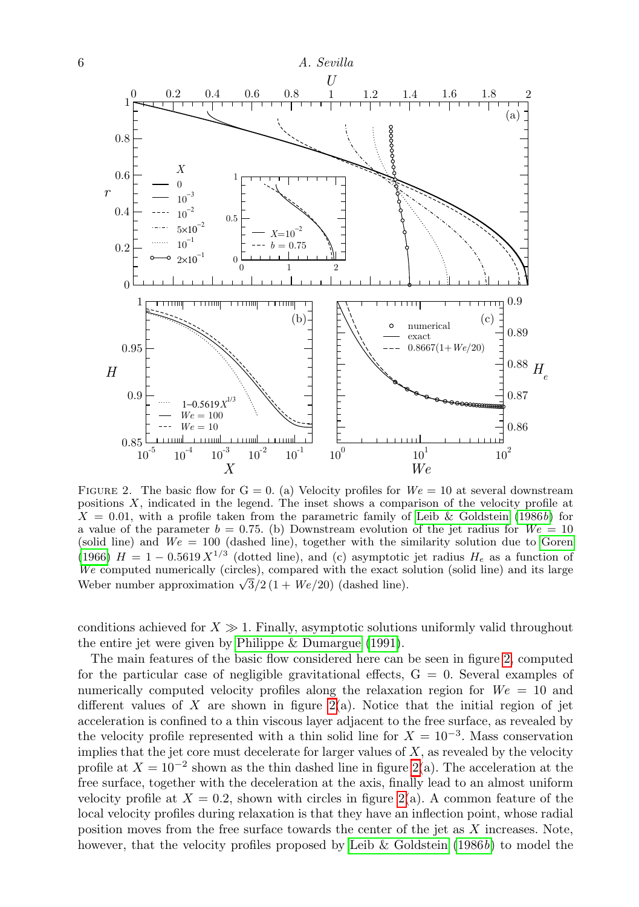

<span id="page-5-0"></span>FIGURE 2. The basic flow for  $G = 0$ . (a) Velocity profiles for  $We = 10$  at several downstream positions  $X$ , indicated in the legend. The inset shows a comparison of the velocity profile at  $X = 0.01$ , with a profile taken from the parametric family of [Leib & Goldstein](#page-21-3) [\(1986](#page-21-3)b) for a value of the parameter  $b = 0.75$ . (b) Downstream evolution of the jet radius for  $We = 10$ (solid line) and  $We = 100$  (dashed line), together with the similarity solution due to [Goren](#page-21-12) [\(1966\)](#page-21-12)  $H = 1 - 0.5619 X^{1/3}$  (dotted line), and (c) asymptotic jet radius  $H_e$  as a function of We computed numerically (circles), compared with the exact solution (solid line) and its large We computed numerically (circles), compared with the exact so<br>Weber number approximation  $\sqrt{3}/2 (1 + We/20)$  (dashed line).

conditions achieved for  $X \gg 1$ . Finally, asymptotic solutions uniformly valid throughout the entire jet were given by [Philippe & Dumargue](#page-21-14) [\(1991\)](#page-21-14).

The main features of the basic flow considered here can be seen in figure [2,](#page-5-0) computed for the particular case of negligible gravitational effects,  $G = 0$ . Several examples of numerically computed velocity profiles along the relaxation region for  $We = 10$  and different values of  $X$  are shown in figure  $2(a)$ . Notice that the initial region of jet acceleration is confined to a thin viscous layer adjacent to the free surface, as revealed by the velocity profile represented with a thin solid line for  $X = 10^{-3}$ . Mass conservation implies that the jet core must decelerate for larger values of  $X$ , as revealed by the velocity profile at  $X = 10^{-2}$  shown as the thin dashed line in figure [2\(](#page-5-0)a). The acceleration at the free surface, together with the deceleration at the axis, finally lead to an almost uniform velocity profile at  $X = 0.2$ , shown with circles in figure [2\(](#page-5-0)a). A common feature of the local velocity profiles during relaxation is that they have an inflection point, whose radial position moves from the free surface towards the center of the jet as X increases. Note, however, that the velocity profiles proposed by [Leib & Goldstein](#page-21-3)  $(1986b)$  $(1986b)$  to model the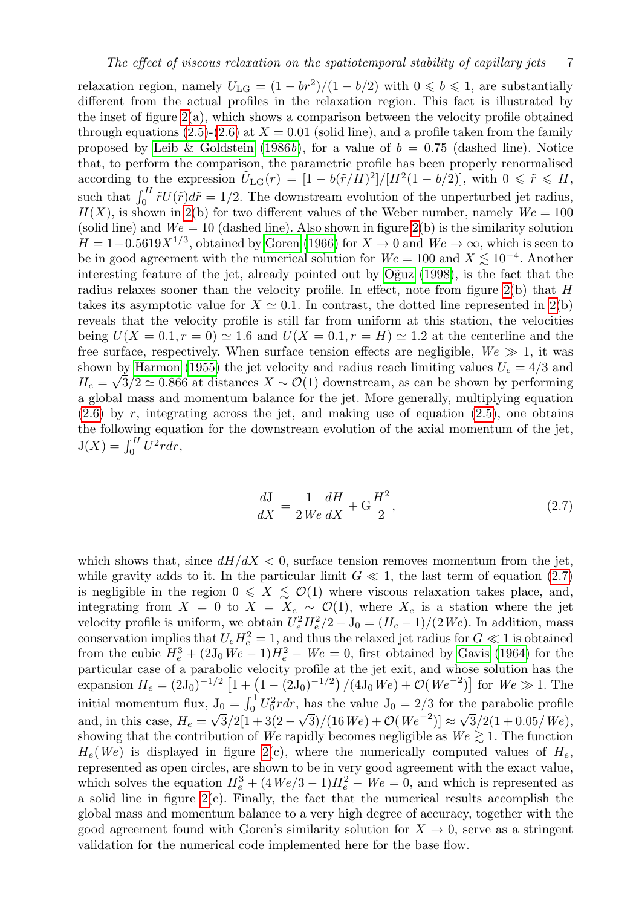relaxation region, namely  $U_{\text{LG}} = (1 - br^2)/(1 - b/2)$  with  $0 \leq b \leq 1$ , are substantially different from the actual profiles in the relaxation region. This fact is illustrated by the inset of figure  $2(a)$ , which shows a comparison between the velocity profile obtained through equations [\(2.5\)](#page-4-1)-[\(2.6\)](#page-4-1) at  $X = 0.01$  (solid line), and a profile taken from the family proposed by [Leib & Goldstein](#page-21-3) [\(1986](#page-21-3)b), for a value of  $b = 0.75$  (dashed line). Notice that, to perform the comparison, the parametric profile has been properly renormalised according to the expression  $\tilde{U}_{\text{LG}}(r) = \frac{[1 - b(\tilde{r}/H)^2]}{[H^2(1 - b/2)]}$ , with  $0 \leq \tilde{r} \leq H$ , such that  $\int_0^H \tilde{r} U(\tilde{r}) d\tilde{r} = 1/2$ . The downstream evolution of the unperturbed jet radius,  $H(X)$ , is shown in [2\(](#page-5-0)b) for two different values of the Weber number, namely  $We = 100$ (solid line) and  $We = 10$  (dashed line). Also shown in figure [2\(](#page-5-0)b) is the similarity solution  $H = 1 - 0.5619X^{1/3}$ , obtained by [Goren](#page-21-12) [\(1966\)](#page-21-12) for  $X \to 0$  and  $We \to \infty$ , which is seen to be in good agreement with the numerical solution for  $We = 100$  and  $X \lesssim 10^{-4}$ . Another interesting feature of the jet, already pointed out by Oğuz [\(1998\)](#page-21-11), is the fact that the radius relaxes sooner than the velocity profile. In effect, note from figure  $2(b)$  that H takes its asymptotic value for  $X \simeq 0.1$ . In contrast, the dotted line represented in [2\(](#page-5-0)b) reveals that the velocity profile is still far from uniform at this station, the velocities being  $U(X = 0.1, r = 0) \approx 1.6$  and  $U(X = 0.1, r = H) \approx 1.2$  at the centerline and the free surface, respectively. When surface tension effects are negligible,  $We \gg 1$ , it was shown by [Harmon](#page-21-15) [\(1955\)](#page-21-15) the jet velocity and radius reach limiting values  $U_e = 4/3$  and  $H_e = \sqrt{3}/2 \simeq 0.866$  at distances  $X \sim \mathcal{O}(1)$  downstream, as can be shown by performing a global mass and momentum balance for the jet. More generally, multiplying equation  $(2.6)$  by r, integrating across the jet, and making use of equation  $(2.5)$ , one obtains the following equation for the downstream evolution of the axial momentum of the jet,  $J(X) = \int_0^H U^2 r dr$ ,

<span id="page-6-0"></span>
$$
\frac{dJ}{dX} = \frac{1}{2\,We}\,\frac{dH}{dX} + G\frac{H^2}{2},\tag{2.7}
$$

which shows that, since  $dH/dX < 0$ , surface tension removes momentum from the jet, while gravity adds to it. In the particular limit  $G \ll 1$ , the last term of equation [\(2.7\)](#page-6-0) is negligible in the region  $0 \leq X \leq \mathcal{O}(1)$  where viscous relaxation takes place, and, integrating from  $X = 0$  to  $X = X_e \sim \mathcal{O}(1)$ , where  $X_e$  is a station where the jet velocity profile is uniform, we obtain  $U_e^2 H_e^2/2 - J_0 = (H_e - 1)/(2 \, We)$ . In addition, mass conservation implies that  $U_e H_e^2 = 1$ , and thus the relaxed jet radius for  $G \ll 1$  is obtained from the cubic  $H_e^3 + (2J_0 We - 1)H_e^2 - We = 0$ , first obtained by [Gavis](#page-20-9) [\(1964\)](#page-20-9) for the particular case of a parabolic velocity profile at the jet exit, and whose solution has the expansion  $H_e = (2J_0)^{-1/2} \left[ 1 + (1 - (2J_0)^{-1/2}) / (4J_0 W_e) + \mathcal{O}(W_e^{-2}) \right]$  for  $W_e \gg 1$ . The initial momentum flux,  $J_0 = \int_0^1 U_0^2 r dr$ , has the value  $J_0 = 2/3$  for the parabolic profile and, in this case,  $H_e = \sqrt{3}/2[1 + 3(2 - \sqrt{3})/(16 \text{We}) + \mathcal{O}(We^{-2})] \approx \sqrt{3}/2(1 + 0.05/\text{We})$ , showing that the contribution of We rapidly becomes negligible as  $We \ge 1$ . The function  $H_e(We)$  is displayed in figure [2\(](#page-5-0)c), where the numerically computed values of  $H_e$ , represented as open circles, are shown to be in very good agreement with the exact value, which solves the equation  $H_e^3 + (4 \text{We}/3 - 1)H_e^2 - \text{We} = 0$ , and which is represented as a solid line in figure  $2(c)$ . Finally, the fact that the numerical results accomplish the global mass and momentum balance to a very high degree of accuracy, together with the good agreement found with Goren's similarity solution for  $X \to 0$ , serve as a stringent validation for the numerical code implemented here for the base flow.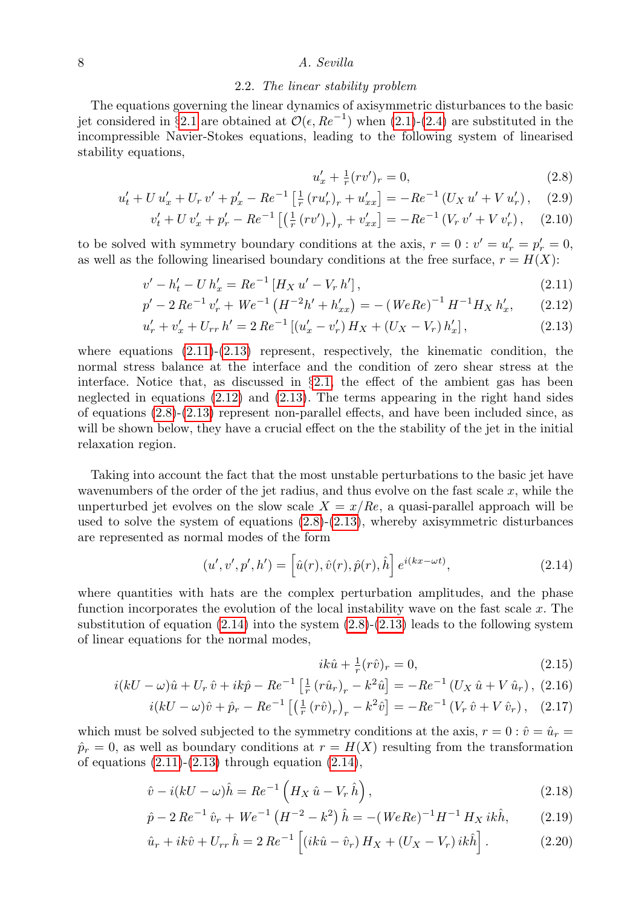## 8 A. Sevilla

## 2.2. The linear stability problem

The equations governing the linear dynamics of axisymmetric disturbances to the basic jet considered in §[2.1](#page-4-2) are obtained at  $\mathcal{O}(\epsilon, Re^{-1})$  when  $(2.1)-(2.4)$  $(2.1)-(2.4)$  $(2.1)-(2.4)$  are substituted in the incompressible Navier-Stokes equations, leading to the following system of linearised stability equations,

<span id="page-7-1"></span>
$$
u'_x + \frac{1}{r}(rv')_r = 0,\t\t(2.8)
$$

$$
u'_{t} + U u'_{x} + U_{r} v' + p'_{x} - Re^{-1} \left[ \frac{1}{r} (r u'_{r})_{r} + u'_{xx} \right] = -Re^{-1} \left( U_{X} u' + V u'_{r} \right), \quad (2.9)
$$

$$
v'_{t} + U v'_{x} + p'_{r} - Re^{-1} \left[ \left( \frac{1}{r} \left( r v' \right)_{r} \right)_{r} + v'_{xx} \right] = -Re^{-1} \left( V_{r} v' + V v'_{r} \right), \quad (2.10)
$$

to be solved with symmetry boundary conditions at the axis,  $r = 0$ :  $v' = u'_r = p'_r = 0$ , as well as the following linearised boundary conditions at the free surface,  $r = H(X)$ :

<span id="page-7-0"></span>
$$
v' - h'_t - U h'_x = Re^{-1} \left[ H_X u' - V_r h' \right], \tag{2.11}
$$

$$
p' - 2\operatorname{Re}^{-1} v'_r + \operatorname{We}^{-1} \left( H^{-2} h' + h'_{xx} \right) = - \left( \operatorname{We} \operatorname{Re} \right)^{-1} H^{-1} H_X h'_x, \tag{2.12}
$$

$$
u'_{r} + v'_{x} + U_{rr} h' = 2 Re^{-1} [(u'_{x} - v'_{r}) H_{X} + (U_{X} - V_{r}) h'_{x}], \qquad (2.13)
$$

where equations  $(2.11)-(2.13)$  $(2.11)-(2.13)$  $(2.11)-(2.13)$  represent, respectively, the kinematic condition, the normal stress balance at the interface and the condition of zero shear stress at the interface. Notice that, as discussed in §[2.1,](#page-4-2) the effect of the ambient gas has been neglected in equations  $(2.12)$  and  $(2.13)$ . The terms appearing in the right hand sides of equations [\(2.8\)](#page-7-1)-[\(2.13\)](#page-7-0) represent non-parallel effects, and have been included since, as will be shown below, they have a crucial effect on the the stability of the jet in the initial relaxation region.

Taking into account the fact that the most unstable perturbations to the basic jet have wavenumbers of the order of the jet radius, and thus evolve on the fast scale  $x$ , while the unperturbed jet evolves on the slow scale  $X = x/Re$ , a quasi-parallel approach will be used to solve the system of equations  $(2.8)-(2.13)$  $(2.8)-(2.13)$  $(2.8)-(2.13)$ , whereby axisymmetric disturbances are represented as normal modes of the form

<span id="page-7-2"></span>
$$
(u', v', p', h') = \left[\hat{u}(r), \hat{v}(r), \hat{p}(r), \hat{h}\right] e^{i(kx - \omega t)},
$$
\n(2.14)

where quantities with hats are the complex perturbation amplitudes, and the phase function incorporates the evolution of the local instability wave on the fast scale  $x$ . The substitution of equation  $(2.14)$  into the system  $(2.8)-(2.13)$  $(2.8)-(2.13)$  $(2.8)-(2.13)$  leads to the following system of linear equations for the normal modes,

<span id="page-7-3"></span>
$$
ik\hat{u} + \frac{1}{r}(r\hat{v})_r = 0,\t\t(2.15)
$$

$$
i(kU - \omega)\hat{u} + U_r \hat{v} + ik\hat{p} - Re^{-1} \left[\frac{1}{r} (r\hat{u}_r)_r - k^2 \hat{u}\right] = -Re^{-1} (U_X \hat{u} + V \hat{u}_r), (2.16)
$$

$$
i(kU - \omega)\hat{v} + \hat{p}_r - Re^{-1}\left[\left(\frac{1}{r}(r\hat{v})_r\right)_r - k^2\hat{v}\right] = -Re^{-1}\left(V_r\hat{v} + V\hat{v}_r\right), (2.17)
$$

which must be solved subjected to the symmetry conditions at the axis,  $r = 0$ :  $\hat{v} = \hat{u}_r$  $\hat{p}_r = 0$ , as well as boundary conditions at  $r = H(X)$  resulting from the transformation of equations  $(2.11)-(2.13)$  $(2.11)-(2.13)$  $(2.11)-(2.13)$  through equation  $(2.14)$ ,

<span id="page-7-4"></span>
$$
\hat{v} - i(kU - \omega)\hat{h} = Re^{-1}\left(H_X\hat{u} - V_r\hat{h}\right),\tag{2.18}
$$

$$
\hat{p} - 2\operatorname{Re}^{-1}\hat{v}_r + \operatorname{We}^{-1}\left(H^{-2} - k^2\right)\hat{h} = -(\operatorname{We}R e)^{-1}\operatorname{H}^{-1}\operatorname{H}_X ik\hat{h},\tag{2.19}
$$

$$
\hat{u}_r + ik\hat{v} + U_{rr}\hat{h} = 2\Re e^{-1} \left[ (ik\hat{u} - \hat{v}_r) H_X + (U_X - V_r) i k \hat{h} \right]. \tag{2.20}
$$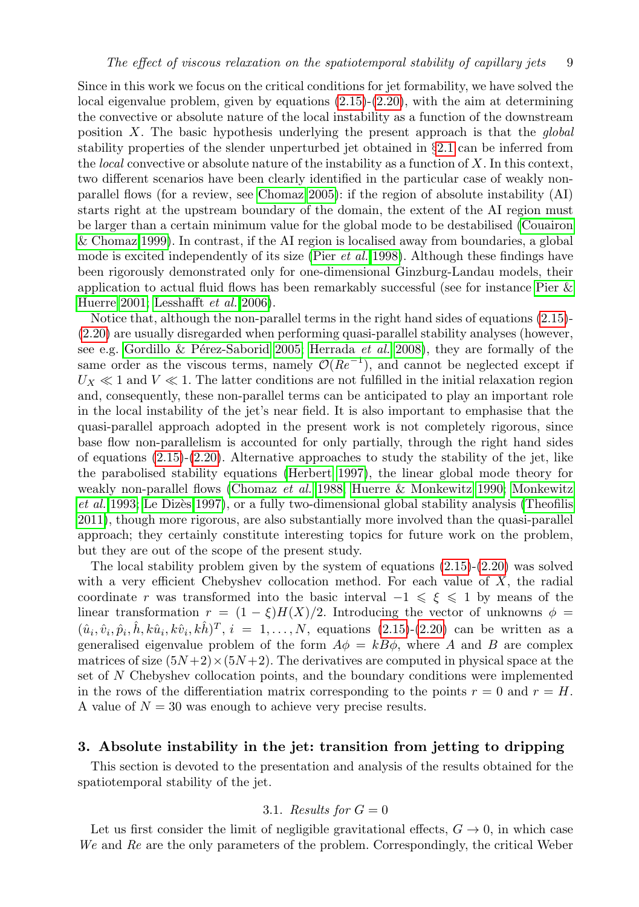Since in this work we focus on the critical conditions for jet formability, we have solved the local eigenvalue problem, given by equations  $(2.15)-(2.20)$  $(2.15)-(2.20)$  $(2.15)-(2.20)$ , with the aim at determining the convective or absolute nature of the local instability as a function of the downstream position X. The basic hypothesis underlying the present approach is that the global stability properties of the slender unperturbed jet obtained in  $\S 2.1$  $\S 2.1$  can be inferred from the local convective or absolute nature of the instability as a function of X. In this context, two different scenarios have been clearly identified in the particular case of weakly nonparallel flows (for a review, see [Chomaz 2005\)](#page-20-10): if the region of absolute instability (AI) starts right at the upstream boundary of the domain, the extent of the AI region must be larger than a certain minimum value for the global mode to be destabilised [\(Couairon](#page-20-11) [& Chomaz 1999\)](#page-20-11). In contrast, if the AI region is localised away from boundaries, a global mode is excited independently of its size (Pier [et al.](#page-21-16) [1998\)](#page-21-16). Although these findings have been rigorously demonstrated only for one-dimensional Ginzburg-Landau models, their application to actual fluid flows has been remarkably successful (see for instance [Pier &](#page-21-17) [Huerre 2001;](#page-21-17) [Lesshafft](#page-21-18) et al. [2006\)](#page-21-18).

Notice that, although the non-parallel terms in the right hand sides of equations [\(2.15\)](#page-7-3)- [\(2.20\)](#page-7-4) are usually disregarded when performing quasi-parallel stability analyses (however, see e.g. Gordillo & Pérez-Saborid 2005; [Herrada](#page-21-19) *et al.* [2008\)](#page-21-19), they are formally of the same order as the viscous terms, namely  $\mathcal{O}(Re^{-1})$ , and cannot be neglected except if  $U_X \ll 1$  and  $V \ll 1$ . The latter conditions are not fulfilled in the initial relaxation region and, consequently, these non-parallel terms can be anticipated to play an important role in the local instability of the jet's near field. It is also important to emphasise that the quasi-parallel approach adopted in the present work is not completely rigorous, since base flow non-parallelism is accounted for only partially, through the right hand sides of equations  $(2.15)-(2.20)$  $(2.15)-(2.20)$  $(2.15)-(2.20)$ . Alternative approaches to study the stability of the jet, like the parabolised stability equations [\(Herbert 1997\)](#page-21-20), the linear global mode theory for weakly non-parallel flows [\(Chomaz](#page-20-6) et al. [1988;](#page-20-6) [Huerre & Monkewitz 1990;](#page-21-21) [Monkewitz](#page-21-22) *[et al.](#page-21-22)* [1993;](#page-21-22) Le Dizès 1997), or a fully two-dimensional global stability analysis [\(Theofilis](#page-22-5) [2011\)](#page-22-5), though more rigorous, are also substantially more involved than the quasi-parallel approach; they certainly constitute interesting topics for future work on the problem, but they are out of the scope of the present study.

The local stability problem given by the system of equations [\(2.15\)](#page-7-3)-[\(2.20\)](#page-7-4) was solved with a very efficient Chebyshev collocation method. For each value of  $X$ , the radial coordinate r was transformed into the basic interval  $-1 \leq \xi \leq 1$  by means of the linear transformation  $r = (1 - \xi)H(X)/2$ . Introducing the vector of unknowns  $\phi =$  $(\hat{u}_i, \hat{v}_i, \hat{p}_i, \hat{h}, k\hat{u}_i, k\hat{v}_i, k\hat{h})^T$ ,  $i = 1, ..., N$ , equations  $(2.15)-(2.20)$  $(2.15)-(2.20)$  $(2.15)-(2.20)$  can be written as a generalised eigenvalue problem of the form  $A\phi = kB\phi$ , where A and B are complex matrices of size  $(5N+2) \times (5N+2)$ . The derivatives are computed in physical space at the set of N Chebyshev collocation points, and the boundary conditions were implemented in the rows of the differentiation matrix corresponding to the points  $r = 0$  and  $r = H$ . A value of  $N = 30$  was enough to achieve very precise results.

#### <span id="page-8-0"></span>3. Absolute instability in the jet: transition from jetting to dripping

This section is devoted to the presentation and analysis of the results obtained for the spatiotemporal stability of the jet.

# 3.1. Results for  $G = 0$

<span id="page-8-1"></span>Let us first consider the limit of negligible gravitational effects,  $G \rightarrow 0$ , in which case We and Re are the only parameters of the problem. Correspondingly, the critical Weber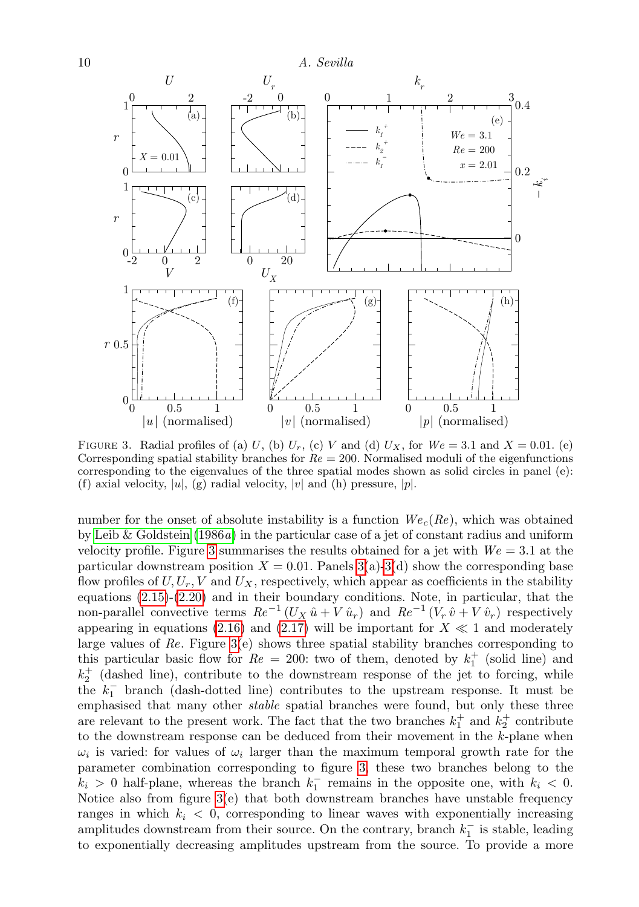

<span id="page-9-0"></span>FIGURE 3. Radial profiles of (a) U, (b)  $U_r$ , (c) V and (d)  $U_x$ , for  $We = 3.1$  and  $X = 0.01$ . (e) Corresponding spatial stability branches for  $Re = 200$ . Normalised moduli of the eigenfunctions corresponding to the eigenvalues of the three spatial modes shown as solid circles in panel (e): (f) axial velocity,  $|u|$ , (g) radial velocity,  $|v|$  and (h) pressure,  $|p|$ .

number for the onset of absolute instability is a function  $We<sub>c</sub>(Re)$ , which was obtained by [Leib & Goldstein](#page-21-4)  $(1986a)$  $(1986a)$  in the particular case of a jet of constant radius and uniform velocity profile. Figure [3](#page-9-0) summarises the results obtained for a jet with  $We = 3.1$  at the particular downstream position  $X = 0.01$ . Panels  $3(a)-3(d)$  $3(a)-3(d)$  $3(a)-3(d)$  show the corresponding base flow profiles of  $U, U_r, V$  and  $U_X$ , respectively, which appear as coefficients in the stability equations  $(2.15)-(2.20)$  $(2.15)-(2.20)$  $(2.15)-(2.20)$  and in their boundary conditions. Note, in particular, that the non-parallel convective terms  $Re^{-1}(U_X \hat{u} + V \hat{u}_r)$  and  $Re^{-1}(V_r \hat{v} + V \hat{v}_r)$  respectively appearing in equations [\(2.16\)](#page-7-3) and [\(2.17\)](#page-7-3) will be important for  $X \ll 1$  and moderately large values of Re. Figure [3\(](#page-9-0)e) shows three spatial stability branches corresponding to this particular basic flow for  $Re = 200$ : two of them, denoted by  $k_1^+$  (solid line) and  $k_2^+$  (dashed line), contribute to the downstream response of the jet to forcing, while the  $k_1^-$  branch (dash-dotted line) contributes to the upstream response. It must be emphasised that many other stable spatial branches were found, but only these three are relevant to the present work. The fact that the two branches  $k_1^+$  and  $k_2^+$  contribute to the downstream response can be deduced from their movement in the k-plane when  $\omega_i$  is varied: for values of  $\omega_i$  larger than the maximum temporal growth rate for the parameter combination corresponding to figure [3,](#page-9-0) these two branches belong to the  $k_i > 0$  half-plane, whereas the branch  $k_1^-$  remains in the opposite one, with  $k_i < 0$ . Notice also from figure [3\(](#page-9-0)e) that both downstream branches have unstable frequency ranges in which  $k_i < 0$ , corresponding to linear waves with exponentially increasing amplitudes downstream from their source. On the contrary, branch  $k_1^-$  is stable, leading to exponentially decreasing amplitudes upstream from the source. To provide a more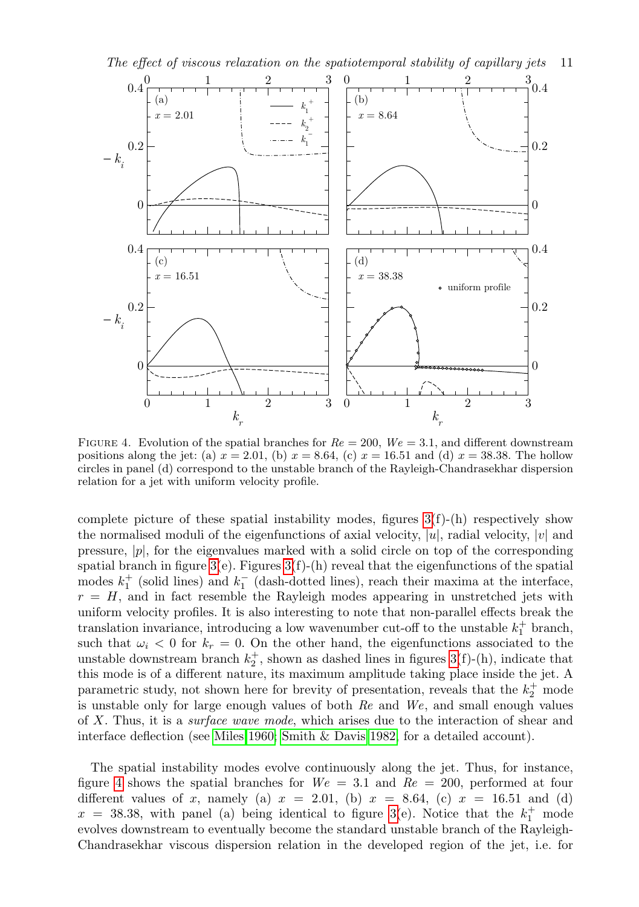

<span id="page-10-0"></span>FIGURE 4. Evolution of the spatial branches for  $Re = 200$ ,  $We = 3.1$ , and different downstream positions along the jet: (a)  $x = 2.01$ , (b)  $x = 8.64$ , (c)  $x = 16.51$  and (d)  $x = 38.38$ . The hollow circles in panel (d) correspond to the unstable branch of the Rayleigh-Chandrasekhar dispersion relation for a jet with uniform velocity profile.

complete picture of these spatial instability modes, figures  $3(f)-(h)$  respectively show the normalised moduli of the eigenfunctions of axial velocity,  $|u|$ , radial velocity,  $|v|$  and pressure,  $|p|$ , for the eigenvalues marked with a solid circle on top of the corresponding spatial branch in figure  $3(e)$ . Figures  $3(f)$ -(h) reveal that the eigenfunctions of the spatial modes  $k_1^+$  (solid lines) and  $k_1^-$  (dash-dotted lines), reach their maxima at the interface,  $r = H$ , and in fact resemble the Rayleigh modes appearing in unstretched jets with uniform velocity profiles. It is also interesting to note that non-parallel effects break the translation invariance, introducing a low wavenumber cut-off to the unstable  $k_1^+$  branch, such that  $\omega_i < 0$  for  $k_r = 0$ . On the other hand, the eigenfunctions associated to the unstable downstream branch  $k_2^+$ , shown as dashed lines in figures [3\(](#page-9-0)f)-(h), indicate that this mode is of a different nature, its maximum amplitude taking place inside the jet. A parametric study, not shown here for brevity of presentation, reveals that the  $k_2^+$  mode is unstable only for large enough values of both Re and We, and small enough values of X. Thus, it is a surface wave mode, which arises due to the interaction of shear and interface deflection (see [Miles 1960;](#page-21-23) [Smith & Davis 1982,](#page-21-24) for a detailed account).

The spatial instability modes evolve continuously along the jet. Thus, for instance, figure [4](#page-10-0) shows the spatial branches for  $We = 3.1$  and  $Re = 200$ , performed at four different values of x, namely (a)  $x = 2.01$ , (b)  $x = 8.64$ , (c)  $x = 16.51$  and (d)  $x = 38.38$ , with panel (a) being identical to figure [3\(](#page-9-0)e). Notice that the  $k_1^+$  mode evolves downstream to eventually become the standard unstable branch of the Rayleigh-Chandrasekhar viscous dispersion relation in the developed region of the jet, i.e. for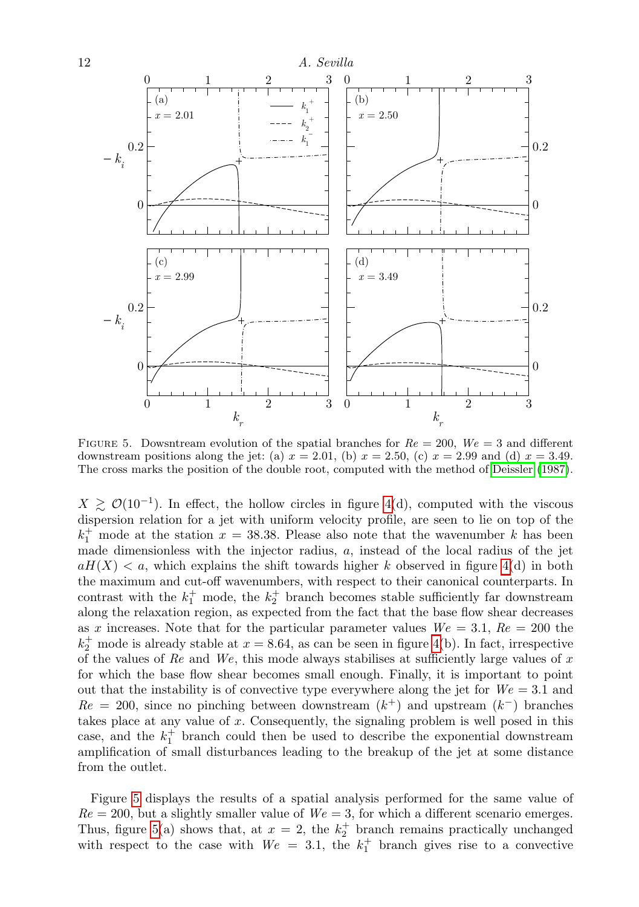

<span id="page-11-0"></span>FIGURE 5. Dowsntream evolution of the spatial branches for  $Re = 200$ ,  $We = 3$  and different downstream positions along the jet: (a)  $x = 2.01$ , (b)  $x = 2.50$ , (c)  $x = 2.99$  and (d)  $x = 3.49$ . The cross marks the position of the double root, computed with the method of [Deissler](#page-20-12) [\(1987\)](#page-20-12).

 $X \geq \mathcal{O}(10^{-1})$ . In effect, the hollow circles in figure [4\(](#page-10-0)d), computed with the viscous dispersion relation for a jet with uniform velocity profile, are seen to lie on top of the  $k_1^+$  mode at the station  $x = 38.38$ . Please also note that the wavenumber k has been made dimensionless with the injector radius,  $a$ , instead of the local radius of the jet  $aH(X) < a$ , which explains the shift towards higher k observed in figure [4\(](#page-10-0)d) in both the maximum and cut-off wavenumbers, with respect to their canonical counterparts. In contrast with the  $k_1^+$  mode, the  $k_2^+$  branch becomes stable sufficiently far downstream along the relaxation region, as expected from the fact that the base flow shear decreases as x increases. Note that for the particular parameter values  $We = 3.1, Re = 200$  the  $k_2^+$  mode is already stable at  $x = 8.64$ , as can be seen in figure [4\(](#page-10-0)b). In fact, irrespective of the values of Re and We, this mode always stabilises at sufficiently large values of  $x$ for which the base flow shear becomes small enough. Finally, it is important to point out that the instability is of convective type everywhere along the jet for  $We = 3.1$  and  $Re = 200$ , since no pinching between downstream  $(k^{+})$  and upstream  $(k^{-})$  branches takes place at any value of x. Consequently, the signaling problem is well posed in this case, and the  $k_1^+$  branch could then be used to describe the exponential downstream amplification of small disturbances leading to the breakup of the jet at some distance from the outlet.

Figure [5](#page-11-0) displays the results of a spatial analysis performed for the same value of  $Re = 200$ , but a slightly smaller value of  $We = 3$ , for which a different scenario emerges. Thus, figure [5\(](#page-11-0)a) shows that, at  $x = 2$ , the  $k_2^+$  branch remains practically unchanged with respect to the case with  $We = 3.1$ , the  $k_1^+$  branch gives rise to a convective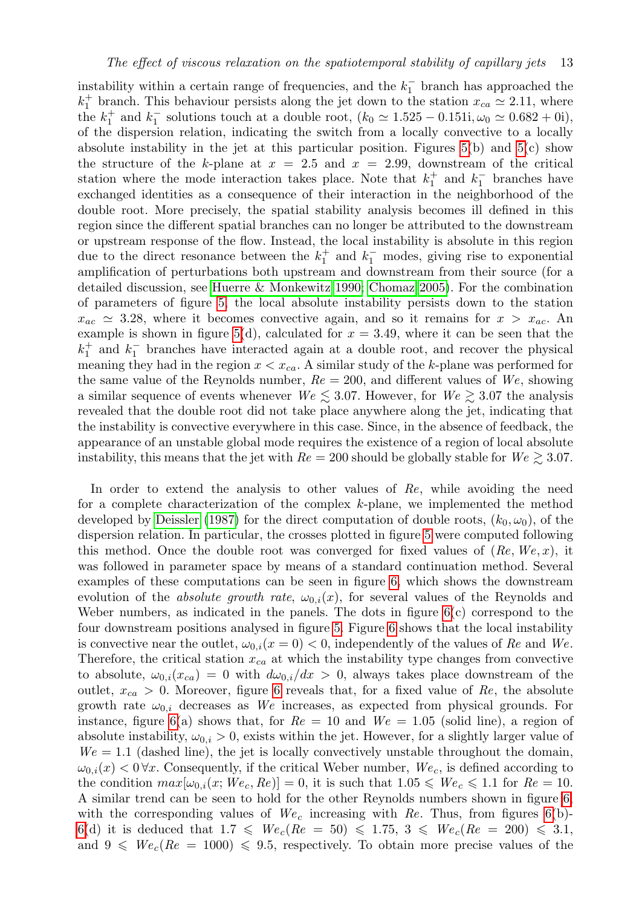instability within a certain range of frequencies, and the  $k_1^-$  branch has approached the  $k_1^+$  branch. This behaviour persists along the jet down to the station  $x_{ca} \simeq 2.11$ , where the  $k_1^+$  and  $k_1^-$  solutions touch at a double root,  $(k_0 \approx 1.525 - 0.151i, \omega_0 \approx 0.682 + 0i)$ , of the dispersion relation, indicating the switch from a locally convective to a locally absolute instability in the jet at this particular position. Figures  $5(b)$  and  $5(c)$  show the structure of the k-plane at  $x = 2.5$  and  $x = 2.99$ , downstream of the critical station where the mode interaction takes place. Note that  $k_1^+$  and  $k_1^-$  branches have exchanged identities as a consequence of their interaction in the neighborhood of the double root. More precisely, the spatial stability analysis becomes ill defined in this region since the different spatial branches can no longer be attributed to the downstream or upstream response of the flow. Instead, the local instability is absolute in this region due to the direct resonance between the  $k_1^+$  and  $k_1^-$  modes, giving rise to exponential amplification of perturbations both upstream and downstream from their source (for a detailed discussion, see [Huerre & Monkewitz 1990;](#page-21-21) [Chomaz 2005\)](#page-20-10). For the combination of parameters of figure [5,](#page-11-0) the local absolute instability persists down to the station  $x_{ac} \approx 3.28$ , where it becomes convective again, and so it remains for  $x > x_{ac}$ . An example is shown in figure [5\(](#page-11-0)d), calculated for  $x = 3.49$ , where it can be seen that the  $k_1^+$  and  $k_1^-$  branches have interacted again at a double root, and recover the physical meaning they had in the region  $x < x_{ca}$ . A similar study of the k-plane was performed for the same value of the Reynolds number,  $Re = 200$ , and different values of  $We$ , showing a similar sequence of events whenever  $We \leq 3.07$ . However, for  $We \geq 3.07$  the analysis revealed that the double root did not take place anywhere along the jet, indicating that the instability is convective everywhere in this case. Since, in the absence of feedback, the appearance of an unstable global mode requires the existence of a region of local absolute instability, this means that the jet with  $Re = 200$  should be globally stable for  $We \ge 3.07$ .

In order to extend the analysis to other values of Re, while avoiding the need for a complete characterization of the complex k-plane, we implemented the method developed by [Deissler](#page-20-12) [\(1987\)](#page-20-12) for the direct computation of double roots,  $(k_0, \omega_0)$ , of the dispersion relation. In particular, the crosses plotted in figure [5](#page-11-0) were computed following this method. Once the double root was converged for fixed values of  $(Re, We, x)$ , it was followed in parameter space by means of a standard continuation method. Several examples of these computations can be seen in figure [6,](#page-13-0) which shows the downstream evolution of the *absolute growth rate*,  $\omega_{0,i}(x)$ , for several values of the Reynolds and Weber numbers, as indicated in the panels. The dots in figure  $6(c)$  correspond to the four downstream positions analysed in figure [5.](#page-11-0) Figure [6](#page-13-0) shows that the local instability is convective near the outlet,  $\omega_{0,i}(x=0) < 0$ , independently of the values of Re and We. Therefore, the critical station  $x_{ca}$  at which the instability type changes from convective to absolute,  $\omega_{0,i}(x_{ca}) = 0$  with  $d\omega_{0,i}/dx > 0$ , always takes place downstream of the outlet,  $x_{ca} > 0$ . Moreover, figure [6](#page-13-0) reveals that, for a fixed value of Re, the absolute growth rate  $\omega_{0,i}$  decreases as We increases, as expected from physical grounds. For instance, figure [6\(](#page-13-0)a) shows that, for  $Re = 10$  and  $We = 1.05$  (solid line), a region of absolute instability,  $\omega_{0,i} > 0$ , exists within the jet. However, for a slightly larger value of  $We = 1.1$  (dashed line), the jet is locally convectively unstable throughout the domain,  $\omega_{0,i}(x) < 0 \forall x$ . Consequently, if the critical Weber number,  $We_c$ , is defined according to the condition  $max[\omega_{0,i}(x; We_c, Re)] = 0$ , it is such that  $1.05 \leqslant We_c \leqslant 1.1$  for  $Re = 10$ . A similar trend can be seen to hold for the other Reynolds numbers shown in figure [6,](#page-13-0) with the corresponding values of  $We<sub>c</sub>$  increasing with Re. Thus, from figures [6\(](#page-13-0)b)-[6\(](#page-13-0)d) it is deduced that  $1.7 \leqslant We_c(Re = 50) \leqslant 1.75$ ,  $3 \leqslant We_c(Re = 200) \leqslant 3.1$ , and  $9 \leq We_c(Re = 1000) \leq 9.5$ , respectively. To obtain more precise values of the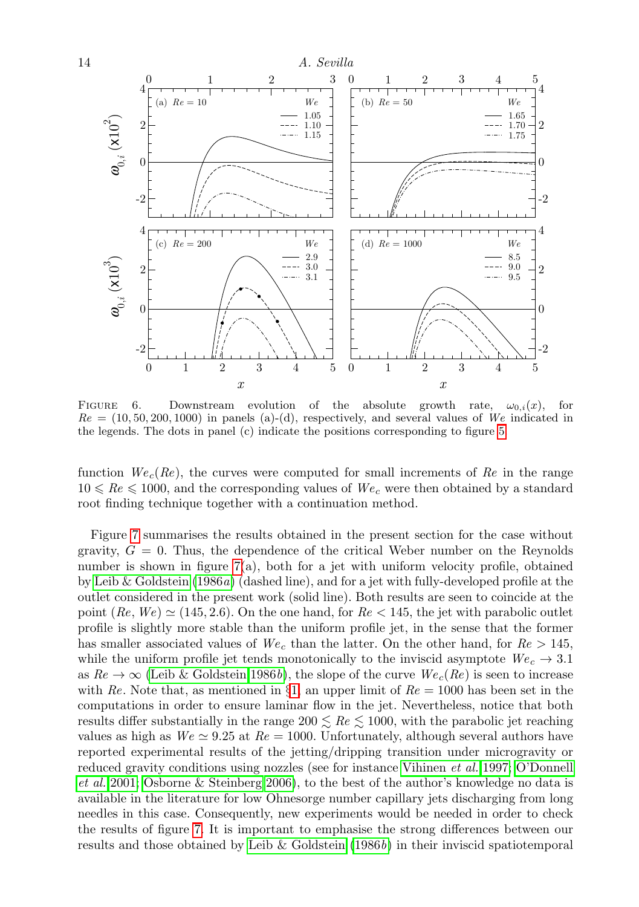

<span id="page-13-0"></span>FIGURE 6. Downstream evolution of the absolute growth rate,  $\omega_{0,i}(x)$ , for  $Re = (10, 50, 200, 1000)$  in panels (a)-(d), respectively, and several values of We indicated in the legends. The dots in panel (c) indicate the positions corresponding to figure [5.](#page-11-0)

function  $We<sub>c</sub>(Re)$ , the curves were computed for small increments of Re in the range  $10 \leq Re \leq 1000$ , and the corresponding values of  $We<sub>c</sub>$  were then obtained by a standard root finding technique together with a continuation method.

Figure [7](#page-14-0) summarises the results obtained in the present section for the case without gravity,  $G = 0$ . Thus, the dependence of the critical Weber number on the Reynolds number is shown in figure [7\(](#page-14-0)a), both for a jet with uniform velocity profile, obtained by [Leib & Goldstein](#page-21-4) [\(1986](#page-21-4)a) (dashed line), and for a jet with fully-developed profile at the outlet considered in the present work (solid line). Both results are seen to coincide at the point  $(Re, We) \simeq (145, 2.6)$ . On the one hand, for  $Re < 145$ , the jet with parabolic outlet profile is slightly more stable than the uniform profile jet, in the sense that the former has smaller associated values of  $We<sub>c</sub>$  than the latter. On the other hand, for  $Re > 145$ , while the uniform profile jet tends monotonically to the inviscid asymptote  $We_c \rightarrow 3.1$ as  $Re \to \infty$  [\(Leib & Goldstein 1986](#page-21-3)b), the slope of the curve  $We<sub>c</sub>(Re)$  is seen to increase with Re. Note that, as mentioned in  $\S1$ , an upper limit of  $Re = 1000$  has been set in the computations in order to ensure laminar flow in the jet. Nevertheless, notice that both results differ substantially in the range  $200 \leq Re \leq 1000$ , with the parabolic jet reaching values as high as  $We \approx 9.25$  at  $Re = 1000$ . Unfortunately, although several authors have reported experimental results of the jetting/dripping transition under microgravity or reduced gravity conditions using nozzles (see for instance [Vihinen](#page-22-6) et al. [1997;](#page-22-6) [O'Donnell](#page-21-25) [et al.](#page-21-25) [2001;](#page-21-25) [Osborne & Steinberg 2006\)](#page-21-26), to the best of the author's knowledge no data is available in the literature for low Ohnesorge number capillary jets discharging from long needles in this case. Consequently, new experiments would be needed in order to check the results of figure [7.](#page-14-0) It is important to emphasise the strong differences between our results and those obtained by [Leib & Goldstein](#page-21-3)  $(1986b)$  $(1986b)$  in their inviscid spatiotemporal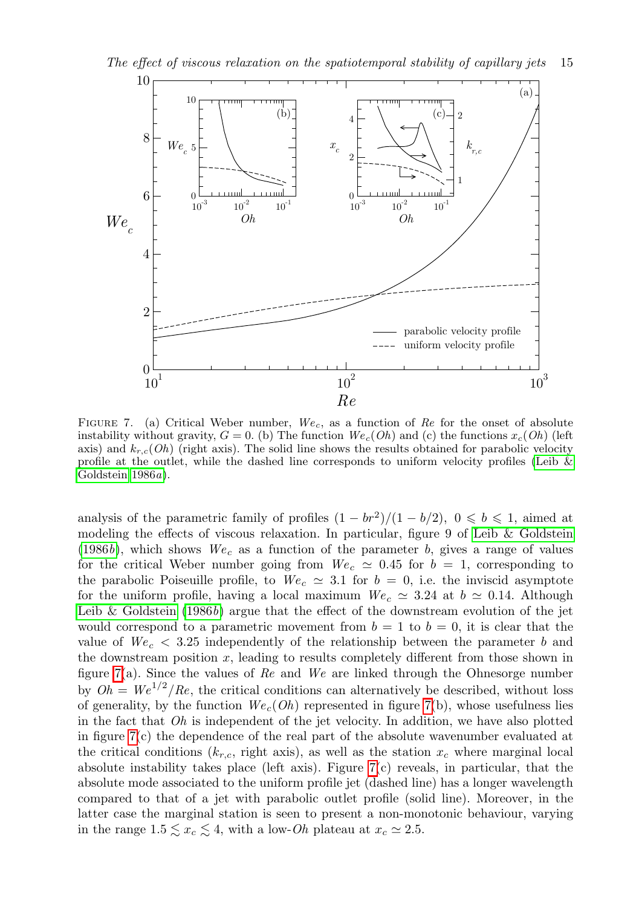

<span id="page-14-0"></span>FIGURE 7. (a) Critical Weber number,  $We<sub>c</sub>$ , as a function of Re for the onset of absolute instability without gravity,  $G = 0$ . (b) The function  $We<sub>c</sub>(Oh)$  and (c) the functions  $x<sub>c</sub>(Oh)$  (left axis) and  $k_{r,c}(\mathit{Oh})$  (right axis). The solid line shows the results obtained for parabolic velocity profile at the outlet, while the dashed line corresponds to uniform velocity profiles [\(Leib &](#page-21-4) [Goldstein 1986](#page-21-4)a).

analysis of the parametric family of profiles  $(1 - br^2)/(1 - b/2)$ ,  $0 \le b \le 1$ , aimed at modeling the effects of viscous relaxation. In particular, figure 9 of [Leib & Goldstein](#page-21-3) [\(1986](#page-21-3)b), which shows  $We<sub>c</sub>$  as a function of the parameter b, gives a range of values for the critical Weber number going from  $We_c \approx 0.45$  for  $b = 1$ , corresponding to the parabolic Poiseuille profile, to  $We_c \simeq 3.1$  for  $b = 0$ , i.e. the inviscid asymptote for the uniform profile, having a local maximum  $We_c \approx 3.24$  at  $b \approx 0.14$ . Although [Leib & Goldstein](#page-21-3)  $(1986b)$  $(1986b)$  argue that the effect of the downstream evolution of the jet would correspond to a parametric movement from  $b = 1$  to  $b = 0$ , it is clear that the value of  $We<sub>c</sub> < 3.25$  independently of the relationship between the parameter b and the downstream position  $x$ , leading to results completely different from those shown in figure [7\(](#page-14-0)a). Since the values of  $Re$  and  $We$  are linked through the Ohnesorge number by  $Oh = We^{1/2}/Re$ , the critical conditions can alternatively be described, without loss of generality, by the function  $We<sub>c</sub>(Oh)$  represented in figure [7\(](#page-14-0)b), whose usefulness lies in the fact that  $Oh$  is independent of the jet velocity. In addition, we have also plotted in figure [7\(](#page-14-0)c) the dependence of the real part of the absolute wavenumber evaluated at the critical conditions  $(k_{r,c},$  right axis), as well as the station  $x_c$  where marginal local absolute instability takes place (left axis). Figure  $7(c)$  reveals, in particular, that the absolute mode associated to the uniform profile jet (dashed line) has a longer wavelength compared to that of a jet with parabolic outlet profile (solid line). Moreover, in the latter case the marginal station is seen to present a non-monotonic behaviour, varying in the range  $1.5 \leq x_c \leq 4$ , with a low-Oh plateau at  $x_c \approx 2.5$ .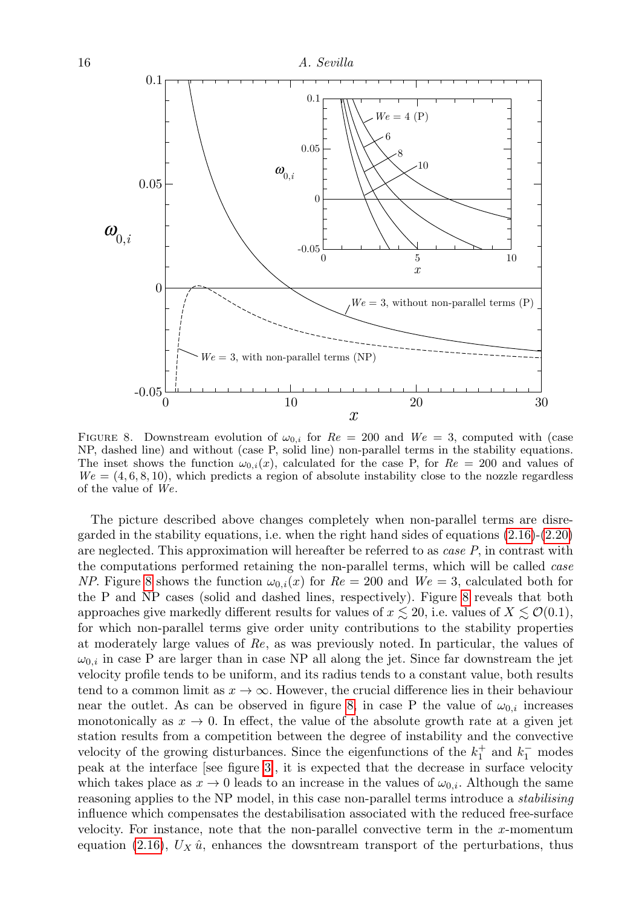

<span id="page-15-0"></span>FIGURE 8. Downstream evolution of  $\omega_{0,i}$  for  $Re = 200$  and  $We = 3$ , computed with (case NP, dashed line) and without (case P, solid line) non-parallel terms in the stability equations. The inset shows the function  $\omega_{0,i}(x)$ , calculated for the case P, for  $Re = 200$  and values of  $We = (4, 6, 8, 10)$ , which predicts a region of absolute instability close to the nozzle regardless of the value of We.

The picture described above changes completely when non-parallel terms are disregarded in the stability equations, i.e. when the right hand sides of equations  $(2.16)-(2.20)$  $(2.16)-(2.20)$  $(2.16)-(2.20)$ are neglected. This approximation will hereafter be referred to as *case P*, in contrast with the computations performed retaining the non-parallel terms, which will be called case NP. Figure [8](#page-15-0) shows the function  $\omega_{0,i}(x)$  for  $Re = 200$  and  $We = 3$ , calculated both for the P and NP cases (solid and dashed lines, respectively). Figure [8](#page-15-0) reveals that both approaches give markedly different results for values of  $x \lesssim 20$ , i.e. values of  $X \lesssim \mathcal{O}(0.1)$ , for which non-parallel terms give order unity contributions to the stability properties at moderately large values of Re, as was previously noted. In particular, the values of  $\omega_{0,i}$  in case P are larger than in case NP all along the jet. Since far downstream the jet velocity profile tends to be uniform, and its radius tends to a constant value, both results tend to a common limit as  $x \to \infty$ . However, the crucial difference lies in their behaviour near the outlet. As can be observed in figure [8,](#page-15-0) in case P the value of  $\omega_{0,i}$  increases monotonically as  $x \to 0$ . In effect, the value of the absolute growth rate at a given jet station results from a competition between the degree of instability and the convective velocity of the growing disturbances. Since the eigenfunctions of the  $k_1^+$  and  $k_1^-$  modes peak at the interface [see figure [3\]](#page-9-0), it is expected that the decrease in surface velocity which takes place as  $x \to 0$  leads to an increase in the values of  $\omega_{0,i}$ . Although the same reasoning applies to the NP model, in this case non-parallel terms introduce a stabilising influence which compensates the destabilisation associated with the reduced free-surface velocity. For instance, note that the non-parallel convective term in the  $x$ -momentum equation [\(2.16\)](#page-7-3),  $U_X \hat{u}$ , enhances the dowsntream transport of the perturbations, thus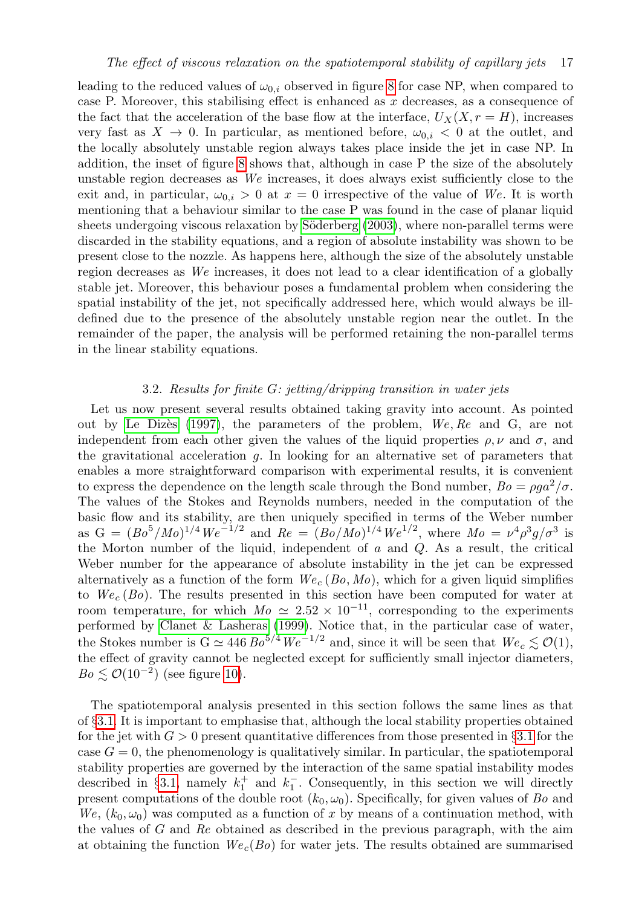leading to the reduced values of  $\omega_{0,i}$  observed in figure [8](#page-15-0) for case NP, when compared to case P. Moreover, this stabilising effect is enhanced as  $x$  decreases, as a consequence of the fact that the acceleration of the base flow at the interface,  $U_X(X, r = H)$ , increases very fast as  $X \to 0$ . In particular, as mentioned before,  $\omega_{0,i} < 0$  at the outlet, and the locally absolutely unstable region always takes place inside the jet in case NP. In addition, the inset of figure [8](#page-15-0) shows that, although in case P the size of the absolutely unstable region decreases as We increases, it does always exist sufficiently close to the exit and, in particular,  $\omega_{0,i} > 0$  at  $x = 0$  irrespective of the value of We. It is worth mentioning that a behaviour similar to the case P was found in the case of planar liquid sheets undergoing viscous relaxation by Söderberg  $(2003)$ , where non-parallel terms were discarded in the stability equations, and a region of absolute instability was shown to be present close to the nozzle. As happens here, although the size of the absolutely unstable region decreases as We increases, it does not lead to a clear identification of a globally stable jet. Moreover, this behaviour poses a fundamental problem when considering the spatial instability of the jet, not specifically addressed here, which would always be illdefined due to the presence of the absolutely unstable region near the outlet. In the remainder of the paper, the analysis will be performed retaining the non-parallel terms in the linear stability equations.

#### 3.2. Results for finite G: jetting/dripping transition in water jets

<span id="page-16-0"></span>Let us now present several results obtained taking gravity into account. As pointed out by Le Dizès [\(1997\)](#page-21-6), the parameters of the problem,  $We, Re$  and G, are not independent from each other given the values of the liquid properties  $\rho, \nu$  and  $\sigma$ , and the gravitational acceleration  $q$ . In looking for an alternative set of parameters that enables a more straightforward comparison with experimental results, it is convenient to express the dependence on the length scale through the Bond number,  $Bo = \rho g a^2/\sigma$ . The values of the Stokes and Reynolds numbers, needed in the computation of the basic flow and its stability, are then uniquely specified in terms of the Weber number as  $G = (Bo<sup>5</sup>/Mo)<sup>1/4</sup> We<sup>-1/2</sup>$  and  $Re = (Bo/Mo)<sup>1/4</sup> We<sup>1/2</sup>$ , where  $Mo = v<sup>4</sup>ρ<sup>3</sup>g/σ<sup>3</sup>$  is the Morton number of the liquid, independent of  $a$  and  $Q$ . As a result, the critical Weber number for the appearance of absolute instability in the jet can be expressed alternatively as a function of the form  $We<sub>c</sub>(Bo, Mo)$ , which for a given liquid simplifies to  $We<sub>c</sub>(Bo)$ . The results presented in this section have been computed for water at room temperature, for which  $Mo \simeq 2.52 \times 10^{-11}$ , corresponding to the experiments performed by [Clanet & Lasheras](#page-20-7) [\(1999\)](#page-20-7). Notice that, in the particular case of water, the Stokes number is  $G \simeq 446 B \sigma^{5/4} W e^{-1/2}$  and, since it will be seen that  $W e_c \lesssim \mathcal{O}(1)$ , the effect of gravity cannot be neglected except for sufficiently small injector diameters,  $Bo \lesssim \mathcal{O}(10^{-2})$  (see figure [10\)](#page-18-0).

The spatiotemporal analysis presented in this section follows the same lines as that of §[3.1.](#page-8-1) It is important to emphasise that, although the local stability properties obtained for the jet with  $G > 0$  present quantitative differences from those presented in §[3.1](#page-8-1) for the case  $G = 0$ , the phenomenology is qualitatively similar. In particular, the spatiotemporal stability properties are governed by the interaction of the same spatial instability modes described in §[3.1,](#page-8-1) namely  $k_1^+$  and  $k_1^-$ . Consequently, in this section we will directly present computations of the double root  $(k_0, \omega_0)$ . Specifically, for given values of Bo and  $We, (k_0, \omega_0)$  was computed as a function of x by means of a continuation method, with the values of G and Re obtained as described in the previous paragraph, with the aim at obtaining the function  $We<sub>c</sub>(Bo)$  for water jets. The results obtained are summarised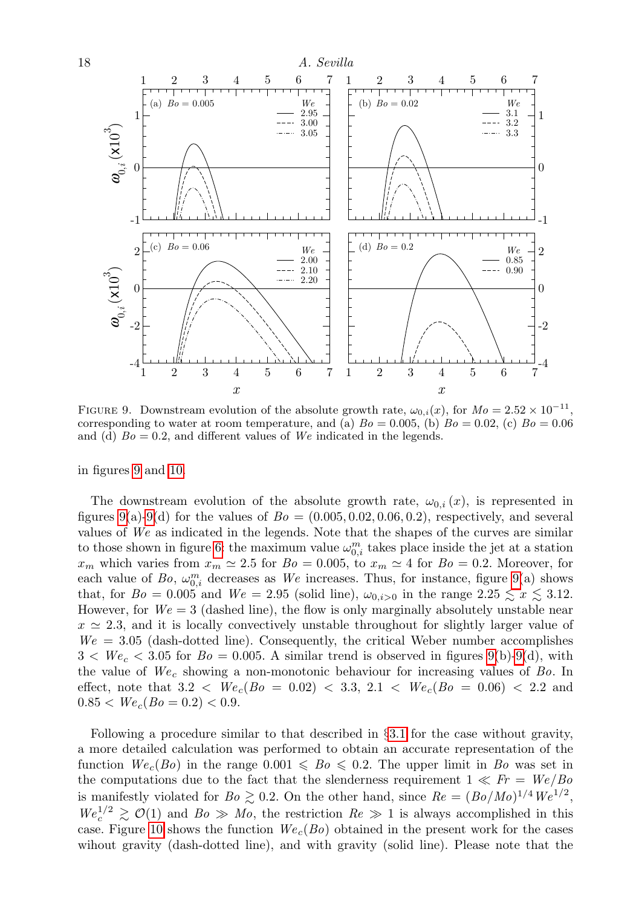

<span id="page-17-0"></span>FIGURE 9. Downstream evolution of the absolute growth rate,  $\omega_{0,i}(x)$ , for  $Mo = 2.52 \times 10^{-11}$ , corresponding to water at room temperature, and (a)  $Bo = 0.005$ , (b)  $Bo = 0.02$ , (c)  $Bo = 0.06$ and (d)  $Bo = 0.2$ , and different values of We indicated in the legends.

in figures [9](#page-17-0) and [10.](#page-18-0)

The downstream evolution of the absolute growth rate,  $\omega_{0,i}(x)$ , is represented in figures [9\(](#page-17-0)a)[-9\(](#page-17-0)d) for the values of  $Bo = (0.005, 0.02, 0.06, 0.2)$ , respectively, and several values of We as indicated in the legends. Note that the shapes of the curves are similar to those shown in figure [6:](#page-13-0) the maximum value  $\omega_{0,i}^m$  takes place inside the jet at a station  $x_m$  which varies from  $x_m \simeq 2.5$  for  $Bo = 0.005$ , to  $x_m \simeq 4$  for  $Bo = 0.2$ . Moreover, for each value of Bo,  $\omega_{0,i}^m$  decreases as We increases. Thus, for instance, figure [9\(](#page-17-0)a) shows that, for  $Bo = 0.005$  and  $We = 2.95$  (solid line),  $\omega_{0,i>0}$  in the range  $2.25 \lesssim x \lesssim 3.12$ . However, for  $We = 3$  (dashed line), the flow is only marginally absolutely unstable near  $x \approx 2.3$ , and it is locally convectively unstable throughout for slightly larger value of  $We = 3.05$  (dash-dotted line). Consequently, the critical Weber number accomplishes  $3 < We_c < 3.05$  for  $Bo = 0.005$ . A similar trend is observed in figures [9\(](#page-17-0)b)[-9\(](#page-17-0)d), with the value of  $We<sub>c</sub>$  showing a non-monotonic behaviour for increasing values of Bo. In effect, note that  $3.2 < We<sub>c</sub>(Bo = 0.02) < 3.3, 2.1 < We<sub>c</sub>(Bo = 0.06) < 2.2$  and  $0.85 < We<sub>c</sub>(Bo = 0.2) < 0.9$ .

Following a procedure similar to that described in §[3.1](#page-8-1) for the case without gravity, a more detailed calculation was performed to obtain an accurate representation of the function  $We_c(Bo)$  in the range  $0.001 \leq Bo \leq 0.2$ . The upper limit in Bo was set in the computations due to the fact that the slenderness requirement  $1 \ll Fr = We/Bo$ is manifestly violated for  $Bo \gtrsim 0.2$ . On the other hand, since  $Re = (Bo/Mo)^{1/4} We^{1/2}$ ,  $We<sub>c</sub><sup>1/2</sup> \gtrsim \mathcal{O}(1)$  and  $Bo \gg Mo$ , the restriction  $Re \gg 1$  is always accomplished in this case. Figure [10](#page-18-0) shows the function  $We<sub>c</sub>(Bo)$  obtained in the present work for the cases wihout gravity (dash-dotted line), and with gravity (solid line). Please note that the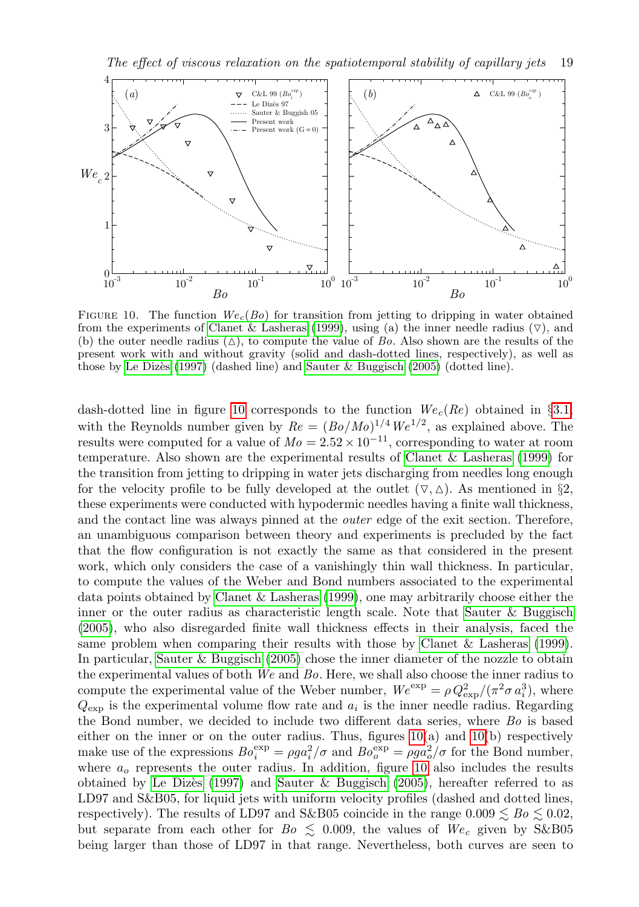The effect of viscous relaxation on the spatiotemporal stability of capillary jets 19



<span id="page-18-0"></span>FIGURE 10. The function  $We<sub>c</sub>(Bo)$  for transition from jetting to dripping in water obtained from the experiments of [Clanet & Lasheras](#page-20-7) [\(1999\)](#page-20-7), using (a) the inner needle radius ( $\nabla$ ), and (b) the outer needle radius  $(\triangle)$ , to compute the value of Bo. Also shown are the results of the present work with and without gravity (solid and dash-dotted lines, respectively), as well as those by Le Dizès [\(1997\)](#page-21-6) (dashed line) and [Sauter & Buggisch](#page-21-27) [\(2005\)](#page-21-27) (dotted line).

dash-dotted line in figure [10](#page-18-0) corresponds to the function  $We<sub>c</sub>(Re)$  obtained in §[3.1,](#page-8-1) with the Reynolds number given by  $Re = (Bo/Mo)^{1/4} We^{1/2}$ , as explained above. The results were computed for a value of  $Mo = 2.52 \times 10^{-11}$ , corresponding to water at room temperature. Also shown are the experimental results of [Clanet & Lasheras](#page-20-7) [\(1999\)](#page-20-7) for the transition from jetting to dripping in water jets discharging from needles long enough for the velocity profile to be fully developed at the outlet  $(\nabla, \Delta)$ . As mentioned in §2, these experiments were conducted with hypodermic needles having a finite wall thickness, and the contact line was always pinned at the outer edge of the exit section. Therefore, an unambiguous comparison between theory and experiments is precluded by the fact that the flow configuration is not exactly the same as that considered in the present work, which only considers the case of a vanishingly thin wall thickness. In particular, to compute the values of the Weber and Bond numbers associated to the experimental data points obtained by [Clanet & Lasheras](#page-20-7) [\(1999\)](#page-20-7), one may arbitrarily choose either the inner or the outer radius as characteristic length scale. Note that [Sauter & Buggisch](#page-21-27) [\(2005\)](#page-21-27), who also disregarded finite wall thickness effects in their analysis, faced the same problem when comparing their results with those by [Clanet & Lasheras](#page-20-7) [\(1999\)](#page-20-7). In particular, [Sauter & Buggisch](#page-21-27) [\(2005\)](#page-21-27) chose the inner diameter of the nozzle to obtain the experimental values of both We and Bo. Here, we shall also choose the inner radius to compute the experimental value of the Weber number,  $We^{\exp} = \rho Q_{\exp}^2/(\pi^2 \sigma a_i^3)$ , where  $Q_{\rm exp}$  is the experimental volume flow rate and  $a_i$  is the inner needle radius. Regarding the Bond number, we decided to include two different data series, where Bo is based either on the inner or on the outer radius. Thus, figures  $10(a)$  and  $10(b)$  respectively make use of the expressions  $Bo_i^{\exp} = \rho g a_i^2 / \sigma$  and  $Bo_o^{\exp} = \rho g a_o^2 / \sigma$  for the Bond number, where  $a<sub>o</sub>$  represents the outer radius. In addition, figure [10](#page-18-0) also includes the results obtained by Le Dizès [\(1997\)](#page-21-6) and Sauter  $\&$  Buggisch [\(2005\)](#page-21-27), hereafter referred to as LD97 and S&B05, for liquid jets with uniform velocity profiles (dashed and dotted lines, respectively). The results of LD97 and S&B05 coincide in the range  $0.009 \lesssim Bo \lesssim 0.02$ , but separate from each other for  $Bo \leq 0.009$ , the values of  $We_c$  given by S&B05 being larger than those of LD97 in that range. Nevertheless, both curves are seen to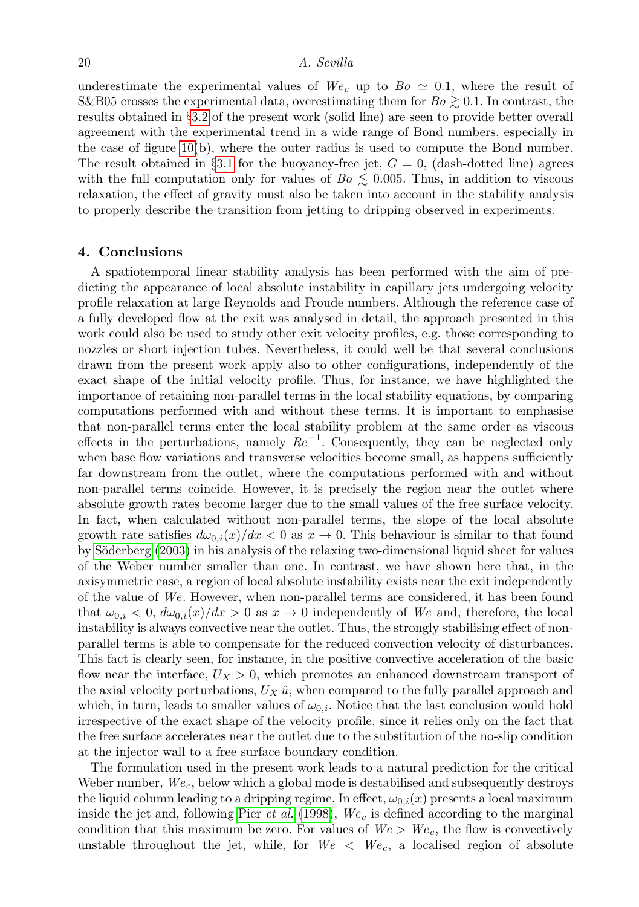underestimate the experimental values of  $We<sub>c</sub>$  up to  $Bo \simeq 0.1$ , where the result of S&B05 crosses the experimental data, overestimating them for  $Bo \gtrsim 0.1$ . In contrast, the results obtained in §[3.2](#page-16-0) of the present work (solid line) are seen to provide better overall agreement with the experimental trend in a wide range of Bond numbers, especially in the case of figure [10\(](#page-18-0)b), where the outer radius is used to compute the Bond number. The result obtained in §[3.1](#page-8-1) for the buoyancy-free jet,  $G = 0$ , (dash-dotted line) agrees with the full computation only for values of  $Bo \lesssim 0.005$ . Thus, in addition to viscous relaxation, the effect of gravity must also be taken into account in the stability analysis to properly describe the transition from jetting to dripping observed in experiments.

# <span id="page-19-0"></span>4. Conclusions

A spatiotemporal linear stability analysis has been performed with the aim of predicting the appearance of local absolute instability in capillary jets undergoing velocity profile relaxation at large Reynolds and Froude numbers. Although the reference case of a fully developed flow at the exit was analysed in detail, the approach presented in this work could also be used to study other exit velocity profiles, e.g. those corresponding to nozzles or short injection tubes. Nevertheless, it could well be that several conclusions drawn from the present work apply also to other configurations, independently of the exact shape of the initial velocity profile. Thus, for instance, we have highlighted the importance of retaining non-parallel terms in the local stability equations, by comparing computations performed with and without these terms. It is important to emphasise that non-parallel terms enter the local stability problem at the same order as viscous effects in the perturbations, namely  $Re^{-1}$ . Consequently, they can be neglected only when base flow variations and transverse velocities become small, as happens sufficiently far downstream from the outlet, where the computations performed with and without non-parallel terms coincide. However, it is precisely the region near the outlet where absolute growth rates become larger due to the small values of the free surface velocity. In fact, when calculated without non-parallel terms, the slope of the local absolute growth rate satisfies  $d\omega_{0,i}(x)/dx < 0$  as  $x \to 0$ . This behaviour is similar to that found by [S¨oderberg](#page-22-7) [\(2003\)](#page-22-7) in his analysis of the relaxing two-dimensional liquid sheet for values of the Weber number smaller than one. In contrast, we have shown here that, in the axisymmetric case, a region of local absolute instability exists near the exit independently of the value of We. However, when non-parallel terms are considered, it has been found that  $\omega_{0,i} < 0$ ,  $d\omega_{0,i}(x)/dx > 0$  as  $x \to 0$  independently of We and, therefore, the local instability is always convective near the outlet. Thus, the strongly stabilising effect of nonparallel terms is able to compensate for the reduced convection velocity of disturbances. This fact is clearly seen, for instance, in the positive convective acceleration of the basic flow near the interface,  $U_X > 0$ , which promotes an enhanced downstream transport of the axial velocity perturbations,  $U_X \hat{u}$ , when compared to the fully parallel approach and which, in turn, leads to smaller values of  $\omega_{0,i}$ . Notice that the last conclusion would hold irrespective of the exact shape of the velocity profile, since it relies only on the fact that the free surface accelerates near the outlet due to the substitution of the no-slip condition at the injector wall to a free surface boundary condition.

The formulation used in the present work leads to a natural prediction for the critical Weber number,  $We<sub>c</sub>$ , below which a global mode is destabilised and subsequently destroys the liquid column leading to a dripping regime. In effect,  $\omega_{0,i}(x)$  presents a local maximum inside the jet and, following Pier *[et al.](#page-21-16)* [\(1998\)](#page-21-16),  $We<sub>c</sub>$  is defined according to the marginal condition that this maximum be zero. For values of  $We > We_c$ , the flow is convectively unstable throughout the jet, while, for  $We < We<sub>c</sub>$ , a localised region of absolute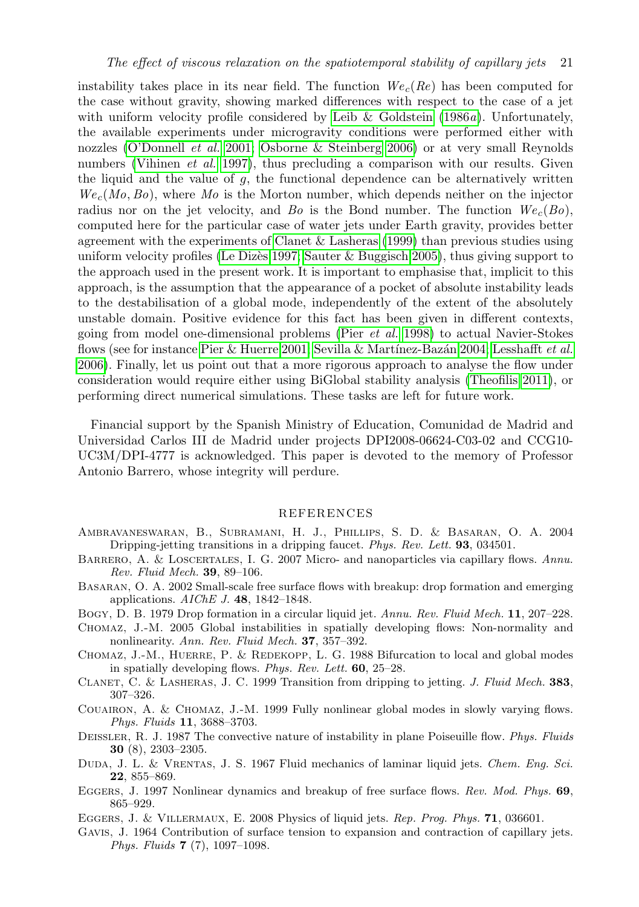instability takes place in its near field. The function  $We<sub>c</sub>(Re)$  has been computed for the case without gravity, showing marked differences with respect to the case of a jet with uniform velocity profile considered by [Leib & Goldstein](#page-21-4)  $(1986a)$  $(1986a)$ . Unfortunately, the available experiments under microgravity conditions were performed either with nozzles [\(O'Donnell](#page-21-25) et al. [2001;](#page-21-25) [Osborne & Steinberg 2006\)](#page-21-26) or at very small Reynolds numbers [\(Vihinen](#page-22-6) et al. [1997\)](#page-22-6), thus precluding a comparison with our results. Given the liquid and the value of  $q$ , the functional dependence can be alternatively written  $We<sub>c</sub>(Mo, Bo)$ , where Mo is the Morton number, which depends neither on the injector radius nor on the jet velocity, and Bo is the Bond number. The function  $We<sub>c</sub>(Bo)$ , computed here for the particular case of water jets under Earth gravity, provides better agreement with the experiments of [Clanet & Lasheras](#page-20-7) [\(1999\)](#page-20-7) than previous studies using uniform velocity profiles (Le Dizès 1997; Sauter  $\&$  Buggisch 2005), thus giving support to the approach used in the present work. It is important to emphasise that, implicit to this approach, is the assumption that the appearance of a pocket of absolute instability leads to the destabilisation of a global mode, independently of the extent of the absolutely unstable domain. Positive evidence for this fact has been given in different contexts, going from model one-dimensional problems (Pier [et al.](#page-21-16) [1998\)](#page-21-16) to actual Navier-Stokes flows (see for instance [Pier & Huerre 2001;](#page-21-17) Sevilla & Martínez-Bazán 2004; [Lesshafft](#page-21-18) *et al.* [2006\)](#page-21-18). Finally, let us point out that a more rigorous approach to analyse the flow under consideration would require either using BiGlobal stability analysis [\(Theofilis 2011\)](#page-22-5), or performing direct numerical simulations. These tasks are left for future work.

Financial support by the Spanish Ministry of Education, Comunidad de Madrid and Universidad Carlos III de Madrid under projects DPI2008-06624-C03-02 and CCG10- UC3M/DPI-4777 is acknowledged. This paper is devoted to the memory of Professor Antonio Barrero, whose integrity will perdure.

#### REFERENCES

- <span id="page-20-5"></span>Ambravaneswaran, B., Subramani, H. J., Phillips, S. D. & Basaran, O. A. 2004 Dripping-jetting transitions in a dripping faucet. Phys. Rev. Lett. 93, 034501.
- <span id="page-20-2"></span>BARRERO, A. & LOSCERTALES, I. G. 2007 Micro- and nanoparticles via capillary flows. Annu. Rev. Fluid Mech. 39, 89–106.
- <span id="page-20-4"></span>Basaran, O. A. 2002 Small-scale free surface flows with breakup: drop formation and emerging applications. AIChE J. 48, 1842–1848.
- <span id="page-20-0"></span>Bogy, D. B. 1979 Drop formation in a circular liquid jet. Annu. Rev. Fluid Mech. 11, 207–228.
- <span id="page-20-10"></span>Chomaz, J.-M. 2005 Global instabilities in spatially developing flows: Non-normality and nonlinearity. Ann. Rev. Fluid Mech. **37**, 357-392.
- <span id="page-20-6"></span>CHOMAZ, J.-M., HUERRE, P. & REDEKOPP, L. G. 1988 Bifurcation to local and global modes in spatially developing flows. Phys. Rev. Lett. 60, 25–28.
- <span id="page-20-7"></span>CLANET, C. & LASHERAS, J. C. 1999 Transition from dripping to jetting. J. Fluid Mech. 383, 307–326.
- <span id="page-20-11"></span>Couairon, A. & Chomaz, J.-M. 1999 Fully nonlinear global modes in slowly varying flows. Phys. Fluids 11, 3688–3703.
- <span id="page-20-12"></span>DEISSLER, R. J. 1987 The convective nature of instability in plane Poiseuille flow. Phys. Fluids 30 (8), 2303–2305.
- <span id="page-20-8"></span>Duda, J. L. & Vrentas, J. S. 1967 Fluid mechanics of laminar liquid jets. Chem. Eng. Sci. 22, 855–869.
- <span id="page-20-1"></span>Eggers, J. 1997 Nonlinear dynamics and breakup of free surface flows. Rev. Mod. Phys. 69, 865–929.
- <span id="page-20-3"></span>Eggers, J. & Villermaux, E. 2008 Physics of liquid jets. Rep. Prog. Phys. 71, 036601.
- <span id="page-20-9"></span>Gavis, J. 1964 Contribution of surface tension to expansion and contraction of capillary jets. Phys. Fluids 7 (7), 1097–1098.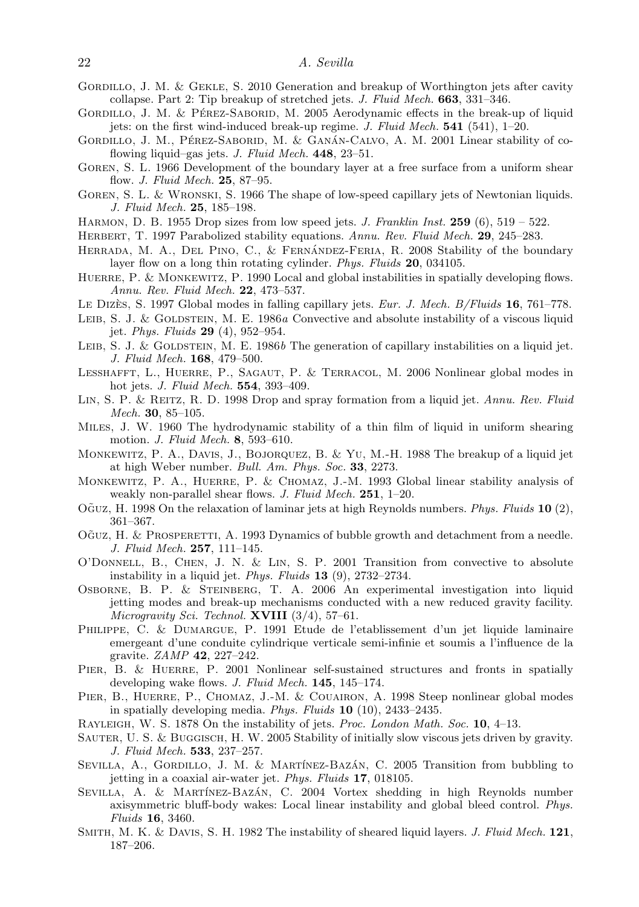- <span id="page-21-2"></span>GORDILLO, J. M. & GEKLE, S. 2010 Generation and breakup of Worthington jets after cavity collapse. Part 2: Tip breakup of stretched jets. J. Fluid Mech. 663, 331–346.
- <span id="page-21-9"></span>GORDILLO, J. M. & PÉREZ-SABORID, M. 2005 Aerodynamic effects in the break-up of liquid jets: on the first wind-induced break-up regime. J. Fluid Mech. 541 (541), 1–20.
- <span id="page-21-10"></span>GORDILLO, J. M., PÉREZ-SABORID, M. & GANÁN-CALVO, A. M. 2001 Linear stability of coflowing liquid–gas jets. J. Fluid Mech. 448, 23–51.
- <span id="page-21-12"></span>Goren, S. L. 1966 Development of the boundary layer at a free surface from a uniform shear flow. J. Fluid Mech. 25, 87–95.
- <span id="page-21-13"></span>Goren, S. L. & Wronski, S. 1966 The shape of low-speed capillary jets of Newtonian liquids. J. Fluid Mech. 25, 185–198.
- <span id="page-21-15"></span>HARMON, D. B. 1955 Drop sizes from low speed jets. J. Franklin Inst.  $259(6)$ , 519 – 522.
- <span id="page-21-20"></span>HERBERT, T. 1997 Parabolized stability equations. Annu. Rev. Fluid Mech. 29, 245–283.
- <span id="page-21-19"></span>HERRADA, M. A., DEL PINO, C., & FERNÁNDEZ-FERIA, R. 2008 Stability of the boundary layer flow on a long thin rotating cylinder. Phys. Fluids 20, 034105.
- <span id="page-21-21"></span>HUERRE, P. & MONKEWITZ, P. 1990 Local and global instabilities in spatially developing flows. Annu. Rev. Fluid Mech. 22, 473-537.
- <span id="page-21-6"></span>Le Dizès, S. 1997 Global modes in falling capillary jets. Eur. J. Mech. B/Fluids 16, 761–778.
- <span id="page-21-4"></span>LEIB, S. J. & GOLDSTEIN, M. E. 1986a Convective and absolute instability of a viscous liquid jet. Phys. Fluids 29 (4), 952–954.
- <span id="page-21-3"></span>LEIB, S. J. & GOLDSTEIN, M. E. 1986b The generation of capillary instabilities on a liquid jet. J. Fluid Mech. 168, 479–500.
- <span id="page-21-18"></span>Lesshafft, L., Huerre, P., Sagaut, P. & Terracol, M. 2006 Nonlinear global modes in hot jets. J. Fluid Mech. 554, 393–409.
- <span id="page-21-0"></span>Lin, S. P. & Reitz, R. D. 1998 Drop and spray formation from a liquid jet. Annu. Rev. Fluid Mech. 30, 85–105.
- <span id="page-21-23"></span>Miles, J. W. 1960 The hydrodynamic stability of a thin film of liquid in uniform shearing motion. J. Fluid Mech. 8, 593–610.
- <span id="page-21-5"></span>Monkewitz, P. A., Davis, J., Bojorquez, B. & Yu, M.-H. 1988 The breakup of a liquid jet at high Weber number. Bull. Am. Phys. Soc. 33, 2273.
- <span id="page-21-22"></span>Monkewitz, P. A., Huerre, P. & Chomaz, J.-M. 1993 Global linear stability analysis of weakly non-parallel shear flows. J. Fluid Mech. 251, 1-20.
- <span id="page-21-11"></span> $O\tilde{G}$ UZ, H. 1998 On the relaxation of laminar jets at high Reynolds numbers. *Phys. Fluids* 10 (2), 361–367.
- <span id="page-21-7"></span>Oguz, H. & Prosperetti, A. 1993 Dynamics of bubble growth and detachment from a needle. J. Fluid Mech. 257, 111–145.
- <span id="page-21-25"></span>O'Donnell, B., Chen, J. N. & Lin, S. P. 2001 Transition from convective to absolute instability in a liquid jet. Phys. Fluids 13 (9), 2732–2734.
- <span id="page-21-26"></span>Osborne, B. P. & Steinberg, T. A. 2006 An experimental investigation into liquid jetting modes and break-up mechanisms conducted with a new reduced gravity facility. Microgravity Sci. Technol. XVIII (3/4), 57-61.
- <span id="page-21-14"></span>Philippe, C. & Dumargue, P. 1991 Etude de l'etablissement d'un jet liquide laminaire emergeant d'une conduite cylindrique verticale semi-infinie et soumis a l'influence de la gravite. ZAMP 42, 227–242.
- <span id="page-21-17"></span>PIER, B. & HUERRE, P. 2001 Nonlinear self-sustained structures and fronts in spatially developing wake flows. J. Fluid Mech. 145, 145–174.
- <span id="page-21-16"></span>PIER, B., HUERRE, P., CHOMAZ, J.-M. & COUAIRON, A. 1998 Steep nonlinear global modes in spatially developing media. Phys. Fluids 10 (10), 2433–2435.
- <span id="page-21-1"></span>Rayleigh, W. S. 1878 On the instability of jets. Proc. London Math. Soc. 10, 4–13.
- <span id="page-21-27"></span>Sauter, U. S. & Buggisch, H. W. 2005 Stability of initially slow viscous jets driven by gravity. J. Fluid Mech. 533, 237–257.
- <span id="page-21-8"></span>SEVILLA, A., GORDILLO, J. M. & MARTÍNEZ-BAZÁN, C. 2005 Transition from bubbling to jetting in a coaxial air-water jet. Phys. Fluids 17, 018105.
- <span id="page-21-28"></span>SEVILLA, A. & MARTÍNEZ-BAZÁN, C. 2004 Vortex shedding in high Reynolds number axisymmetric bluff-body wakes: Local linear instability and global bleed control. Phys. Fluids 16, 3460.
- <span id="page-21-24"></span>SMITH, M. K. & DAVIS, S. H. 1982 The instability of sheared liquid layers. J. Fluid Mech. 121, 187–206.